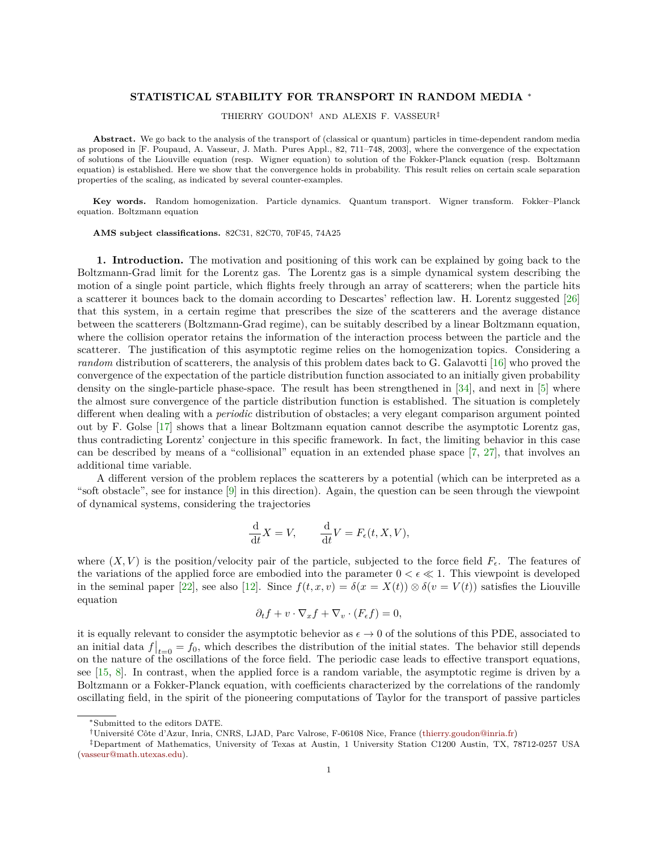## **STATISTICAL STABILITY FOR TRANSPORT IN RANDOM MEDIA** <sup>∗</sup>

THIERRY GOUDON† AND ALEXIS F. VASSEUR‡

**Abstract.** We go back to the analysis of the transport of (classical or quantum) particles in time-dependent random media as proposed in [F. Poupaud, A. Vasseur, J. Math. Pures Appl., 82, 711–748, 2003], where the convergence of the expectation of solutions of the Liouville equation (resp. Wigner equation) to solution of the Fokker-Planck equation (resp. Boltzmann equation) is established. Here we show that the convergence holds in probability. This result relies on certain scale separation properties of the scaling, as indicated by several counter-examples.

**Key words.** Random homogenization. Particle dynamics. Quantum transport. Wigner transform. Fokker–Planck equation. Boltzmann equation

**AMS subject classifications.** 82C31, 82C70, 70F45, 74A25

**1. Introduction.** The motivation and positioning of this work can be explained by going back to the Boltzmann-Grad limit for the Lorentz gas. The Lorentz gas is a simple dynamical system describing the motion of a single point particle, which flights freely through an array of scatterers; when the particle hits a scatterer it bounces back to the domain according to Descartes' reflection law. H. Lorentz suggested [\[26\]](#page-20-0) that this system, in a certain regime that prescribes the size of the scatterers and the average distance between the scatterers (Boltzmann-Grad regime), can be suitably described by a linear Boltzmann equation, where the collision operator retains the information of the interaction process between the particle and the scatterer. The justification of this asymptotic regime relies on the homogenization topics. Considering a *random* distribution of scatterers, the analysis of this problem dates back to G. Galavotti [\[16\]](#page-20-1) who proved the convergence of the expectation of the particle distribution function associated to an initially given probability density on the single-particle phase-space. The result has been strengthened in [\[34\]](#page-20-2), and next in [\[5\]](#page-20-3) where the almost sure convergence of the particle distribution function is established. The situation is completely different when dealing with a *periodic* distribution of obstacles; a very elegant comparison argument pointed out by F. Golse [\[17\]](#page-20-4) shows that a linear Boltzmann equation cannot describe the asymptotic Lorentz gas, thus contradicting Lorentz' conjecture in this specific framework. In fact, the limiting behavior in this case can be described by means of a "collisional" equation in an extended phase space [\[7,](#page-20-5) [27\]](#page-20-6), that involves an additional time variable.

A different version of the problem replaces the scatterers by a potential (which can be interpreted as a "soft obstacle", see for instance [\[9\]](#page-20-7) in this direction). Again, the question can be seen through the viewpoint of dynamical systems, considering the trajectories

$$
\frac{\mathrm{d}}{\mathrm{d}t}X = V, \qquad \frac{\mathrm{d}}{\mathrm{d}t}V = F_{\epsilon}(t, X, V),
$$

where  $(X, V)$  is the position/velocity pair of the particle, subjected to the force field  $F_{\epsilon}$ . The features of the variations of the applied force are embodied into the parameter  $0 < \epsilon \ll 1$ . This viewpoint is developed in the seminal paper [\[22\]](#page-20-8), see also [\[12\]](#page-20-9). Since  $f(t, x, v) = \delta(x = X(t)) \otimes \delta(v = V(t))$  satisfies the Liouville equation

$$
\partial_t f + v \cdot \nabla_x f + \nabla_v \cdot (F_{\epsilon} f) = 0,
$$

it is equally relevant to consider the asymptotic behevior as  $\epsilon \to 0$  of the solutions of this PDE, associated to an initial data  $f|_{t=0} = f_0$ , which describes the distribution of the initial states. The behavior still depends on the nature of the oscillations of the force field. The periodic case leads to effective transport equations, see [\[15,](#page-20-10) [8\]](#page-20-11). In contrast, when the applied force is a random variable, the asymptotic regime is driven by a Boltzmann or a Fokker-Planck equation, with coefficients characterized by the correlations of the randomly oscillating field, in the spirit of the pioneering computations of Taylor for the transport of passive particles

<sup>∗</sup>Submitted to the editors DATE.

<sup>†</sup>Université Côte d'Azur, Inria, CNRS, LJAD, Parc Valrose, F-06108 Nice, France [\(thierry.goudon@inria.fr\)](mailto:thierry.goudon@inria.fr)

<sup>‡</sup>Department of Mathematics, University of Texas at Austin, 1 University Station C1200 Austin, TX, 78712-0257 USA [\(vasseur@math.utexas.edu\)](mailto:vasseur@math.utexas.edu).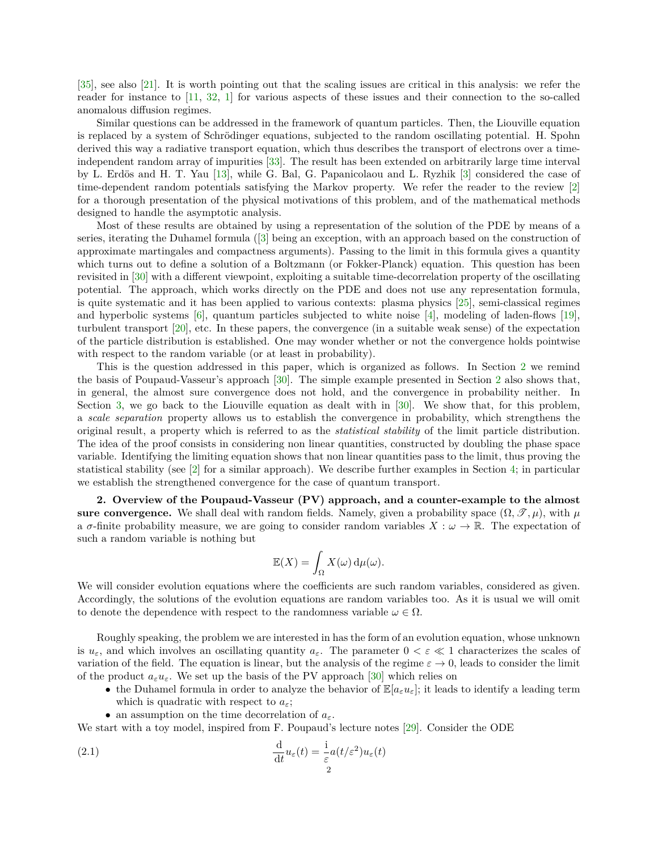[\[35\]](#page-20-12), see also [\[21\]](#page-20-13). It is worth pointing out that the scaling issues are critical in this analysis: we refer the reader for instance to [\[11,](#page-20-14) [32,](#page-20-15) [1\]](#page-19-0) for various aspects of these issues and their connection to the so-called anomalous diffusion regimes.

Similar questions can be addressed in the framework of quantum particles. Then, the Liouville equation is replaced by a system of Schrödinger equations, subjected to the random oscillating potential. H. Spohn derived this way a radiative transport equation, which thus describes the transport of electrons over a timeindependent random array of impurities [\[33\]](#page-20-16). The result has been extended on arbitrarily large time interval by L. Erdös and H. T. Yau [\[13\]](#page-20-17), while G. Bal, G. Papanicolaou and L. Ryzhik [\[3\]](#page-19-1) considered the case of time-dependent random potentials satisfying the Markov property. We refer the reader to the review [\[2\]](#page-19-2) for a thorough presentation of the physical motivations of this problem, and of the mathematical methods designed to handle the asymptotic analysis.

Most of these results are obtained by using a representation of the solution of the PDE by means of a series, iterating the Duhamel formula ([\[3\]](#page-19-1) being an exception, with an approach based on the construction of approximate martingales and compactness arguments). Passing to the limit in this formula gives a quantity which turns out to define a solution of a Boltzmann (or Fokker-Planck) equation. This question has been revisited in [\[30\]](#page-20-18) with a different viewpoint, exploiting a suitable time-decorrelation property of the oscillating potential. The approach, which works directly on the PDE and does not use any representation formula, is quite systematic and it has been applied to various contexts: plasma physics [\[25\]](#page-20-19), semi-classical regimes and hyperbolic systems  $[6]$ , quantum particles subjected to white noise  $[4]$ , modeling of laden-flows  $[19]$ , turbulent transport [\[20\]](#page-20-23), etc. In these papers, the convergence (in a suitable weak sense) of the expectation of the particle distribution is established. One may wonder whether or not the convergence holds pointwise with respect to the random variable (or at least in probability).

This is the question addressed in this paper, which is organized as follows. In Section [2](#page-1-0) we remind the basis of Poupaud-Vasseur's approach [\[30\]](#page-20-18). The simple example presented in Section [2](#page-1-0) also shows that, in general, the almost sure convergence does not hold, and the convergence in probability neither. In Section [3,](#page-5-0) we go back to the Liouville equation as dealt with in [\[30\]](#page-20-18). We show that, for this problem, a *scale separation* property allows us to establish the convergence in probability, which strengthens the original result, a property which is referred to as the *statistical stability* of the limit particle distribution. The idea of the proof consists in considering non linear quantities, constructed by doubling the phase space variable. Identifying the limiting equation shows that non linear quantities pass to the limit, thus proving the statistical stability (see [\[2\]](#page-19-2) for a similar approach). We describe further examples in Section [4;](#page-12-0) in particular we establish the strengthened convergence for the case of quantum transport.

<span id="page-1-0"></span>**2. Overview of the Poupaud-Vasseur (PV) approach, and a counter-example to the almost sure convergence.** We shall deal with random fields. Namely, given a probability space  $(\Omega, \mathcal{T}, \mu)$ , with  $\mu$ a  $\sigma$ -finite probability measure, we are going to consider random variables  $X : \omega \to \mathbb{R}$ . The expectation of such a random variable is nothing but

$$
\mathbb{E}(X) = \int_{\Omega} X(\omega) \, \mathrm{d}\mu(\omega).
$$

We will consider evolution equations where the coefficients are such random variables, considered as given. Accordingly, the solutions of the evolution equations are random variables too. As it is usual we will omit to denote the dependence with respect to the randomness variable  $\omega \in \Omega$ .

Roughly speaking, the problem we are interested in has the form of an evolution equation, whose unknown is  $u_{\varepsilon}$ , and which involves an oscillating quantity  $a_{\varepsilon}$ . The parameter  $0 < \varepsilon \ll 1$  characterizes the scales of variation of the field. The equation is linear, but the analysis of the regime  $\varepsilon \to 0$ , leads to consider the limit of the product  $a_{\varepsilon}u_{\varepsilon}$ . We set up the basis of the PV approach [\[30\]](#page-20-18) which relies on

- the Duhamel formula in order to analyze the behavior of  $\mathbb{E}[a_{\varepsilon}u_{\varepsilon}]$ ; it leads to identify a leading term which is quadratic with respect to *aε*;
- an assumption on the time decorrelation of *aε*.

We start with a toy model, inspired from F. Poupaud's lecture notes [\[29\]](#page-20-24). Consider the ODE

(2.1) 
$$
\frac{\mathrm{d}}{\mathrm{d}t}u_{\varepsilon}(t) = \frac{\mathrm{i}}{\varepsilon}a(t/\varepsilon^{2})u_{\varepsilon}(t)
$$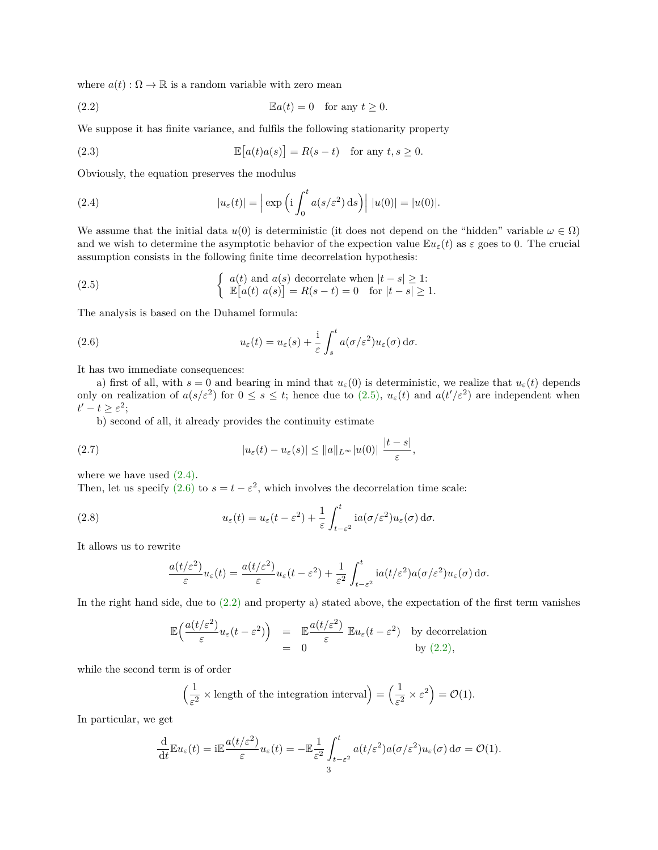where  $a(t): \Omega \to \mathbb{R}$  is a random variable with zero mean

<span id="page-2-3"></span>(2.2) 
$$
\mathbb{E}a(t) = 0 \text{ for any } t \ge 0.
$$

We suppose it has finite variance, and fulfils the following stationarity property

<span id="page-2-5"></span>(2.3) 
$$
\mathbb{E}[a(t)a(s)] = R(s-t) \text{ for any } t, s \ge 0.
$$

Obviously, the equation preserves the modulus

<span id="page-2-1"></span>(2.4) 
$$
|u_{\varepsilon}(t)| = \left| \exp \left( i \int_0^t a(s/\varepsilon^2) ds \right) \right| |u(0)| = |u(0)|.
$$

We assume that the initial data  $u(0)$  is deterministic (it does not depend on the "hidden" variable  $\omega \in \Omega$ ) and we wish to determine the asymptotic behavior of the expection value  $\mathbb{E}u_{\varepsilon}(t)$  as  $\varepsilon$  goes to 0. The crucial assumption consists in the following finite time decorrelation hypothesis:

<span id="page-2-0"></span>(2.5) 
$$
\begin{cases} a(t) \text{ and } a(s) \text{ decorrelate when } |t-s| \geq 1; \\ \mathbb{E}[a(t) \ a(s)] = R(s-t) = 0 \quad \text{for } |t-s| \geq 1. \end{cases}
$$

The analysis is based on the Duhamel formula:

<span id="page-2-2"></span>(2.6) 
$$
u_{\varepsilon}(t) = u_{\varepsilon}(s) + \frac{\mathrm{i}}{\varepsilon} \int_{s}^{t} a(\sigma/\varepsilon^{2}) u_{\varepsilon}(\sigma) \,\mathrm{d}\sigma.
$$

It has two immediate consequences:

a) first of all, with  $s = 0$  and bearing in mind that  $u_{\varepsilon}(0)$  is deterministic, we realize that  $u_{\varepsilon}(t)$  depends only on realization of  $a(s/\varepsilon^2)$  for  $0 \le s \le t$ ; hence due to  $(2.5)$ ,  $u_{\varepsilon}(t)$  and  $a(t'/\varepsilon^2)$  are independent when  $t'-t\geq \varepsilon^2;$ 

b) second of all, it already provides the continuity estimate

(2.7) 
$$
|u_{\varepsilon}(t) - u_{\varepsilon}(s)| \leq ||a||_{L^{\infty}}|u(0)| \frac{|t-s|}{\varepsilon},
$$

where we have used  $(2.4)$ .

Then, let us specify [\(2.6\)](#page-2-2) to  $s = t - \varepsilon^2$ , which involves the decorrelation time scale:

(2.8) 
$$
u_{\varepsilon}(t) = u_{\varepsilon}(t - \varepsilon^2) + \frac{1}{\varepsilon} \int_{t-\varepsilon^2}^{t} i a(\sigma/\varepsilon^2) u_{\varepsilon}(\sigma) d\sigma.
$$

It allows us to rewrite

<span id="page-2-4"></span>
$$
\frac{a(t/\varepsilon^2)}{\varepsilon}u_{\varepsilon}(t)=\frac{a(t/\varepsilon^2)}{\varepsilon}u_{\varepsilon}(t-\varepsilon^2)+\frac{1}{\varepsilon^2}\int_{t-\varepsilon^2}^t i a(t/\varepsilon^2)a(\sigma/\varepsilon^2)u_{\varepsilon}(\sigma)\,\mathrm{d}\sigma.
$$

In the right hand side, due to [\(2.2\)](#page-2-3) and property a) stated above, the expectation of the first term vanishes

$$
\mathbb{E}\left(\frac{a(t/\varepsilon^2)}{\varepsilon}u_{\varepsilon}(t-\varepsilon^2)\right) = \mathbb{E}\frac{a(t/\varepsilon^2)}{\varepsilon} \mathbb{E}u_{\varepsilon}(t-\varepsilon^2) \text{ by decorrelation}
$$
  
= 0 \tby (2.2),

while the second term is of order

$$
\left(\frac{1}{\varepsilon^2} \times \text{length of the integration interval}\right) = \left(\frac{1}{\varepsilon^2} \times \varepsilon^2\right) = \mathcal{O}(1).
$$

In particular, we get

$$
\frac{\mathrm{d}}{\mathrm{d}t} \mathbb{E} u_{\varepsilon}(t) = \mathrm{i} \mathbb{E} \frac{a(t/\varepsilon^2)}{\varepsilon} u_{\varepsilon}(t) = - \mathbb{E} \frac{1}{\varepsilon^2} \int_{t-\varepsilon^2}^t a(t/\varepsilon^2) a(\sigma/\varepsilon^2) u_{\varepsilon}(\sigma) \, \mathrm{d}\sigma = \mathcal{O}(1).
$$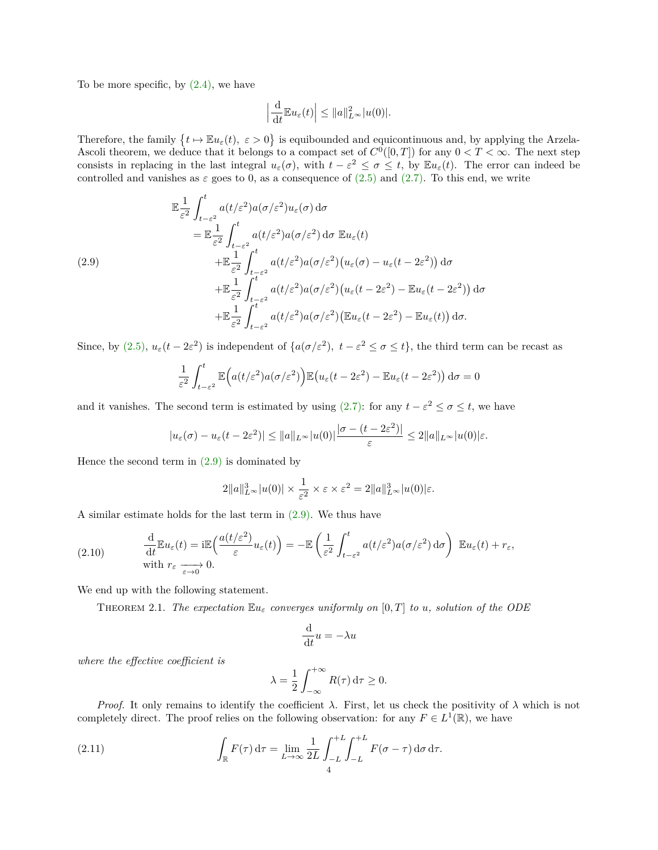To be more specific, by  $(2.4)$ , we have

$$
\left|\frac{\mathrm{d}}{\mathrm{d}t}\mathbb{E}u_{\varepsilon}(t)\right| \leq \|a\|_{L^{\infty}}^2 |u(0)|.
$$

Therefore, the family  $\{t \mapsto \mathbb{E} u_{\varepsilon}(t), \ \varepsilon > 0\}$  is equibounded and equicontinuous and, by applying the Arzela-Ascoli theorem, we deduce that it belongs to a compact set of  $C^0([0,T])$  for any  $0 < T < \infty$ . The next step consists in replacing in the last integral  $u_{\varepsilon}(\sigma)$ , with  $t - \varepsilon^2 \leq \sigma \leq t$ , by  $\mathbb{E}u_{\varepsilon}(t)$ . The error can indeed be controlled and vanishes as  $\varepsilon$  goes to 0, as a consequence of [\(2.5\)](#page-2-0) and [\(2.7\).](#page-2-4) To this end, we write

<span id="page-3-0"></span>
$$
\mathbb{E} \frac{1}{\varepsilon^2} \int_{t-\varepsilon^2}^t a(t/\varepsilon^2) a(\sigma/\varepsilon^2) u_{\varepsilon}(\sigma) d\sigma \n= \mathbb{E} \frac{1}{\varepsilon^2} \int_{t-\varepsilon^2}^t a(t/\varepsilon^2) a(\sigma/\varepsilon^2) d\sigma \mathbb{E} u_{\varepsilon}(t) \n+ \mathbb{E} \frac{1}{\varepsilon^2} \int_{t-\varepsilon^2}^t a(t/\varepsilon^2) a(\sigma/\varepsilon^2) (u_{\varepsilon}(\sigma) - u_{\varepsilon}(t-2\varepsilon^2)) d\sigma \n+ \mathbb{E} \frac{1}{\varepsilon^2} \int_{t-\varepsilon^2}^t a(t/\varepsilon^2) a(\sigma/\varepsilon^2) (u_{\varepsilon}(t-2\varepsilon^2) - \mathbb{E} u_{\varepsilon}(t-2\varepsilon^2)) d\sigma \n+ \mathbb{E} \frac{1}{\varepsilon^2} \int_{t-\varepsilon^2}^t a(t/\varepsilon^2) a(\sigma/\varepsilon^2) (\mathbb{E} u_{\varepsilon}(t-2\varepsilon^2) - \mathbb{E} u_{\varepsilon}(t)) d\sigma.
$$

Since, by [\(2.5\),](#page-2-0)  $u_{\varepsilon}(t - 2\varepsilon^2)$  is independent of  $\{a(\sigma/\varepsilon^2), t - \varepsilon^2 \leq \sigma \leq t\}$ , the third term can be recast as

$$
\frac{1}{\varepsilon^2} \int_{t-\varepsilon^2}^t \mathbb{E}\Big(a(t/\varepsilon^2)a(\sigma/\varepsilon^2)\Big) \mathbb{E}\big(u_\varepsilon(t-2\varepsilon^2) - \mathbb{E}u_\varepsilon(t-2\varepsilon^2)\big) d\sigma = 0
$$

and it vanishes. The second term is estimated by using  $(2.7)$ : for any  $t - \varepsilon^2 \leq \sigma \leq t$ , we have

$$
|u_{\varepsilon}(\sigma)-u_{\varepsilon}(t-2\varepsilon^2)|\leq ||a||_{L^{\infty}}|u(0)|\frac{|\sigma-(t-2\varepsilon^2)|}{\varepsilon}\leq 2||a||_{L^{\infty}}|u(0)|\varepsilon.
$$

Hence the second term in  $(2.9)$  is dominated by

$$
2||a||_{L^{\infty}}^3|u(0)| \times \frac{1}{\varepsilon^2} \times \varepsilon \times \varepsilon^2 = 2||a||_{L^{\infty}}^3|u(0)|\varepsilon.
$$

A similar estimate holds for the last term in [\(2.9\).](#page-3-0) We thus have

<span id="page-3-2"></span>(2.10) 
$$
\frac{\mathrm{d}}{\mathrm{d}t} \mathbb{E} u_{\varepsilon}(t) = i \mathbb{E} \left( \frac{a(t/\varepsilon^2)}{\varepsilon} u_{\varepsilon}(t) \right) = - \mathbb{E} \left( \frac{1}{\varepsilon^2} \int_{t-\varepsilon^2}^t a(t/\varepsilon^2) a(\sigma/\varepsilon^2) d\sigma \right) \mathbb{E} u_{\varepsilon}(t) + r_{\varepsilon},
$$
  
with  $r_{\varepsilon} \xrightarrow[\varepsilon \to 0]{} 0.$ 

We end up with the following statement.

**THEOREM 2.1.** The expectation  $\mathbb{E}u_{\varepsilon}$  converges uniformly on  $[0, T]$  to  $u$ , solution of the ODE

$$
\frac{\mathrm{d}}{\mathrm{d}t}u = -\lambda u
$$

*where the effective coefficient is*

<span id="page-3-1"></span>
$$
\lambda = \frac{1}{2} \int_{-\infty}^{+\infty} R(\tau) \, \mathrm{d}\tau \ge 0.
$$

*Proof.* It only remains to identify the coefficient  $\lambda$ . First, let us check the positivity of  $\lambda$  which is not completely direct. The proof relies on the following observation: for any  $F \in L^1(\mathbb{R})$ , we have

(2.11) 
$$
\int_{\mathbb{R}} F(\tau) d\tau = \lim_{L \to \infty} \frac{1}{2L} \int_{-L}^{+L} \int_{-L}^{+L} F(\sigma - \tau) d\sigma d\tau.
$$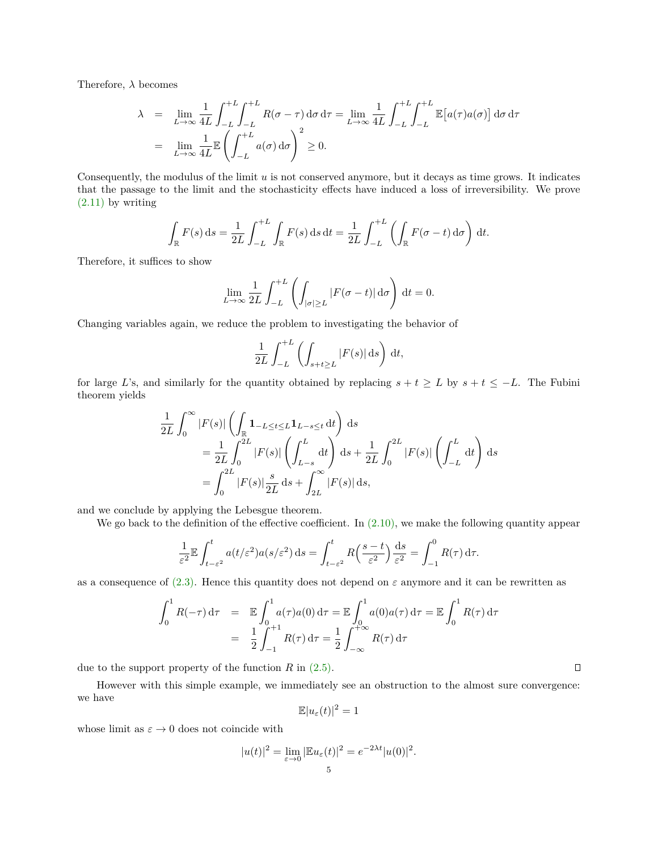Therefore, *λ* becomes

$$
\lambda = \lim_{L \to \infty} \frac{1}{4L} \int_{-L}^{+L} \int_{-L}^{+L} R(\sigma - \tau) d\sigma d\tau = \lim_{L \to \infty} \frac{1}{4L} \int_{-L}^{+L} \int_{-L}^{+L} \mathbb{E}[a(\tau) a(\sigma)] d\sigma d\tau
$$

$$
= \lim_{L \to \infty} \frac{1}{4L} \mathbb{E} \left( \int_{-L}^{+L} a(\sigma) d\sigma \right)^2 \ge 0.
$$

Consequently, the modulus of the limit *u* is not conserved anymore, but it decays as time grows. It indicates that the passage to the limit and the stochasticity effects have induced a loss of irreversibility. We prove  $(2.11)$  by writing

$$
\int_{\mathbb{R}} F(s) ds = \frac{1}{2L} \int_{-L}^{+L} \int_{\mathbb{R}} F(s) ds dt = \frac{1}{2L} \int_{-L}^{+L} \left( \int_{\mathbb{R}} F(\sigma - t) d\sigma \right) dt.
$$

Therefore, it suffices to show

$$
\lim_{L \to \infty} \frac{1}{2L} \int_{-L}^{+L} \left( \int_{|\sigma| \ge L} |F(\sigma - t)| d\sigma \right) dt = 0.
$$

Changing variables again, we reduce the problem to investigating the behavior of

$$
\frac{1}{2L} \int_{-L}^{+L} \left( \int_{s+t \ge L} |F(s)| \, \mathrm{d}s \right) \, \mathrm{d}t,
$$

for large *L*'s, and similarly for the quantity obtained by replacing  $s + t \geq L$  by  $s + t \leq -L$ . The Fubini theorem yields

$$
\frac{1}{2L} \int_0^\infty |F(s)| \left( \int_{\mathbb{R}} \mathbf{1}_{-L \le t \le L} \mathbf{1}_{L-s \le t} dt \right) ds
$$
\n
$$
= \frac{1}{2L} \int_0^{2L} |F(s)| \left( \int_{L-s}^L dt \right) ds + \frac{1}{2L} \int_0^{2L} |F(s)| \left( \int_{-L}^L dt \right) ds
$$
\n
$$
= \int_0^{2L} |F(s)| \frac{s}{2L} ds + \int_{2L}^\infty |F(s)| ds,
$$

and we conclude by applying the Lebesgue theorem.

We go back to the definition of the effective coefficient. In  $(2.10)$ , we make the following quantity appear

$$
\frac{1}{\varepsilon^2} \mathbb{E} \int_{t-\varepsilon^2}^t a(t/\varepsilon^2) a(s/\varepsilon^2) \, \mathrm{d}s = \int_{t-\varepsilon^2}^t R\left(\frac{s-t}{\varepsilon^2}\right) \frac{\mathrm{d}s}{\varepsilon^2} = \int_{-1}^0 R(\tau) \, \mathrm{d}\tau.
$$

as a consequence of  $(2.3)$ . Hence this quantity does not depend on  $\varepsilon$  anymore and it can be rewritten as

$$
\int_0^1 R(-\tau) d\tau = \mathbb{E} \int_0^1 a(\tau) a(0) d\tau = \mathbb{E} \int_0^1 a(0) a(\tau) d\tau = \mathbb{E} \int_0^1 R(\tau) d\tau
$$

$$
= \frac{1}{2} \int_{-1}^{+1} R(\tau) d\tau = \frac{1}{2} \int_{-\infty}^{+\infty} R(\tau) d\tau
$$

due to the support property of the function *R* in [\(2.5\).](#page-2-0)

However with this simple example, we immediately see an obstruction to the almost sure convergence: we have

$$
\mathbb{E}|u_{\varepsilon}(t)|^2=1
$$

whose limit as  $\varepsilon \to 0$  does not coincide with

$$
|u(t)|^2 = \lim_{\varepsilon \to 0} |\mathbb{E}u_{\varepsilon}(t)|^2 = e^{-2\lambda t} |u(0)|^2.
$$

 $\Box$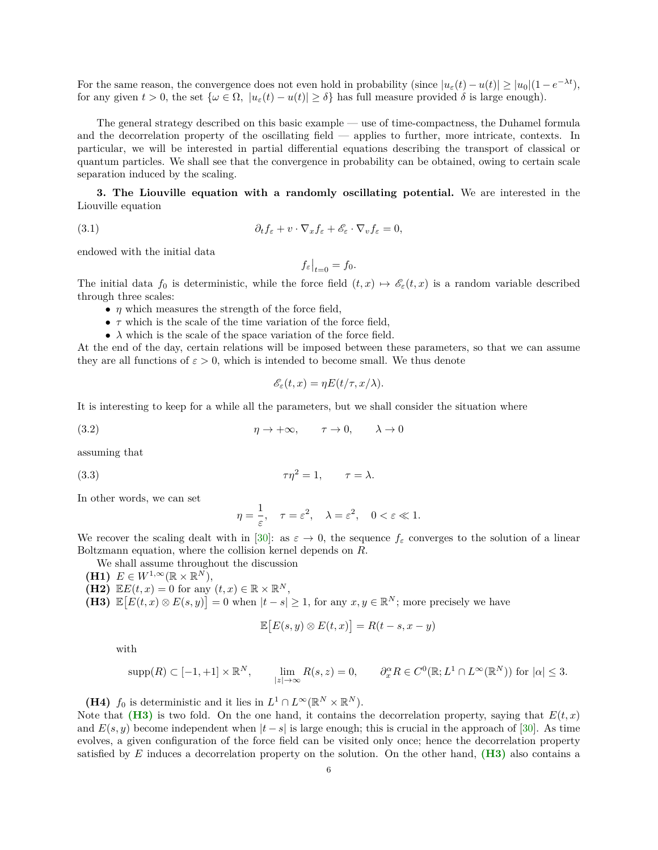For the same reason, the convergence does not even hold in probability (since  $|u_{\varepsilon}(t) - u(t)| \geq |u_0| (1 - e^{-\lambda t})$ ), for any given  $t > 0$ , the set  $\{\omega \in \Omega, |u_{\varepsilon}(t) - u(t)| \ge \delta\}$  has full measure provided  $\delta$  is large enough).

The general strategy described on this basic example — use of time-compactness, the Duhamel formula and the decorrelation property of the oscillating field — applies to further, more intricate, contexts. In particular, we will be interested in partial differential equations describing the transport of classical or quantum particles. We shall see that the convergence in probability can be obtained, owing to certain scale separation induced by the scaling.

<span id="page-5-0"></span>**3. The Liouville equation with a randomly oscillating potential.** We are interested in the Liouville equation

(3.1) 
$$
\partial_t f_{\varepsilon} + v \cdot \nabla_x f_{\varepsilon} + \mathscr{E}_{\varepsilon} \cdot \nabla_v f_{\varepsilon} = 0,
$$

endowed with the initial data

<span id="page-5-6"></span>
$$
f_{\varepsilon}\big|_{t=0} = f_0.
$$

The initial data  $f_0$  is deterministic, while the force field  $(t, x) \mapsto \mathscr{E}_{\varepsilon}(t, x)$  is a random variable described through three scales:

- *η* which measures the strength of the force field,
- *τ* which is the scale of the time variation of the force field,
- $\lambda$  which is the scale of the space variation of the force field.

At the end of the day, certain relations will be imposed between these parameters, so that we can assume they are all functions of  $\varepsilon > 0$ , which is intended to become small. We thus denote

<span id="page-5-2"></span>
$$
\mathscr{E}_{\varepsilon}(t,x) = \eta E(t/\tau, x/\lambda).
$$

It is interesting to keep for a while all the parameters, but we shall consider the situation where

(3.2) 
$$
\eta \to +\infty, \qquad \tau \to 0, \qquad \lambda \to 0
$$

assuming that

$$
\tau \eta^2 = 1, \qquad \tau = \lambda.
$$

In other words, we can set

<span id="page-5-3"></span>
$$
\eta = \frac{1}{\varepsilon}, \quad \tau = \varepsilon^2, \quad \lambda = \varepsilon^2, \quad 0 < \varepsilon \ll 1.
$$

We recover the scaling dealt with in [\[30\]](#page-20-18): as  $\varepsilon \to 0$ , the sequence  $f_{\varepsilon}$  converges to the solution of a linear Boltzmann equation, where the collision kernel depends on *R*.

- We shall assume throughout the discussion
- <span id="page-5-7"></span><span id="page-5-4"></span>**(H1)**  $E \in W^{1,\infty}(\mathbb{R} \times \mathbb{R}^N)$ ,
- $(H2)$   $\mathbb{E}E(t,x) = 0$  for any  $(t,x) \in \mathbb{R} \times \mathbb{R}^N$ ,
- <span id="page-5-1"></span>**(H3)**  $\mathbb{E}[E(t,x) \otimes E(s,y)] = 0$  when  $|t-s| \geq 1$ , for any  $x, y \in \mathbb{R}^N$ ; more precisely we have

$$
\mathbb{E}[E(s,y)\otimes E(t,x)] = R(t-s,x-y)
$$

with

$$
\text{supp}(R) \subset [-1,+1] \times \mathbb{R}^N, \qquad \lim_{|z| \to \infty} R(s,z) = 0, \qquad \partial_x^{\alpha} R \in C^0(\mathbb{R}; L^1 \cap L^{\infty}(\mathbb{R}^N)) \text{ for } |\alpha| \leq 3.
$$

<span id="page-5-5"></span>**(H4)** *f*<sub>0</sub> is deterministic and it lies in  $L^1 \cap L^\infty(\mathbb{R}^N \times \mathbb{R}^N)$ .

Note that **[\(H3\)](#page-5-1)** is two fold. On the one hand, it contains the decorrelation property, saying that  $E(t, x)$ and  $E(s, y)$  become independent when  $|t - s|$  is large enough; this is crucial in the approach of [\[30\]](#page-20-18). As time evolves, a given configuration of the force field can be visited only once; hence the decorrelation property satisfied by *E* induces a decorrelation property on the solution. On the other hand, **[\(H3\)](#page-5-1)** also contains a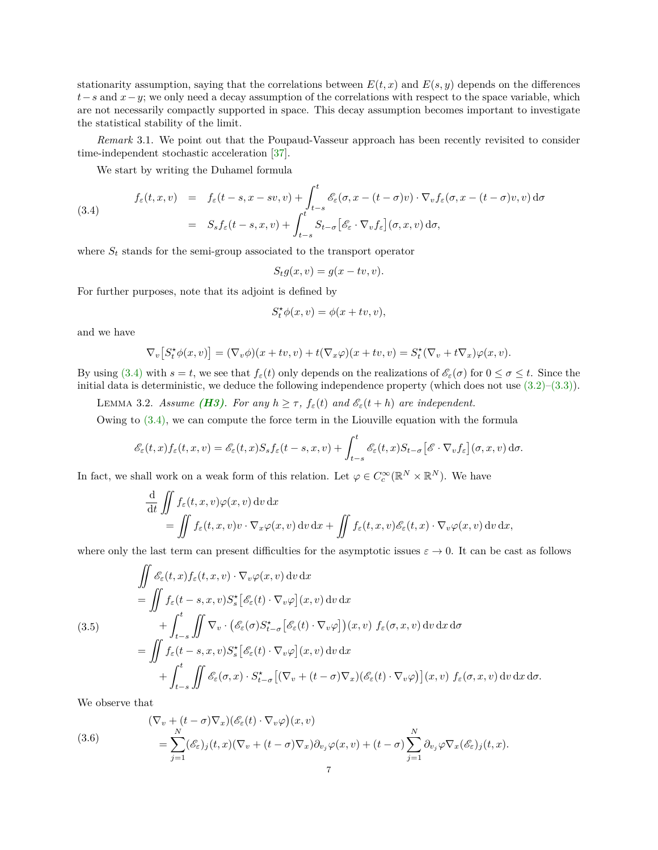stationarity assumption, saying that the correlations between  $E(t, x)$  and  $E(s, y)$  depends on the differences *t*−*s* and *x*−*y*; we only need a decay assumption of the correlations with respect to the space variable, which are not necessarily compactly supported in space. This decay assumption becomes important to investigate the statistical stability of the limit.

*Remark* 3.1. We point out that the Poupaud-Vasseur approach has been recently revisited to consider time-independent stochastic acceleration [\[37\]](#page-20-25).

<span id="page-6-0"></span>We start by writing the Duhamel formula

(3.4)  
\n
$$
f_{\varepsilon}(t, x, v) = f_{\varepsilon}(t - s, x - sv, v) + \int_{t - s}^{t} \mathcal{E}_{\varepsilon}(\sigma, x - (t - \sigma)v) \cdot \nabla_{v} f_{\varepsilon}(\sigma, x - (t - \sigma)v, v) d\sigma
$$
\n
$$
= S_{s} f_{\varepsilon}(t - s, x, v) + \int_{t - s}^{t} S_{t - \sigma} \left[ \mathcal{E}_{\varepsilon} \cdot \nabla_{v} f_{\varepsilon} \right] (\sigma, x, v) d\sigma,
$$

where  $S_t$  stands for the semi-group associated to the transport operator

$$
S_t g(x, v) = g(x - tv, v).
$$

For further purposes, note that its adjoint is defined by

$$
S_t^* \phi(x, v) = \phi(x + tv, v),
$$

and we have

$$
\nabla_v[S_t^*\phi(x,v)] = (\nabla_v \phi)(x+tv,v) + t(\nabla_x \varphi)(x+tv,v) = S_t^*(\nabla_v + t\nabla_x)\varphi(x,v).
$$

By using [\(3.4\)](#page-6-0) with  $s = t$ , we see that  $f_{\varepsilon}(t)$  only depends on the realizations of  $\mathscr{E}_{\varepsilon}(\sigma)$  for  $0 \leq \sigma \leq t$ . Since the initial data is deterministic, we deduce the following independence property (which does not use  $(3.2)$ – $(3.3)$ ).

<span id="page-6-2"></span>**LEMMA 3.2.** *Assume [\(H3\)](#page-5-1). For any*  $h \geq \tau$ *,*  $f_{\varepsilon}(t)$  *and*  $\mathcal{E}_{\varepsilon}(t+h)$  *are independent.* 

Owing to [\(3.4\),](#page-6-0) we can compute the force term in the Liouville equation with the formula

$$
\mathscr{E}_{\varepsilon}(t,x)f_{\varepsilon}(t,x,v)=\mathscr{E}_{\varepsilon}(t,x)S_{s}f_{\varepsilon}(t-s,x,v)+\int_{t-s}^{t}\mathscr{E}_{\varepsilon}(t,x)S_{t-\sigma}[\mathscr{E}\cdot\nabla_{v}f_{\varepsilon}](\sigma,x,v)\,\mathrm{d}\sigma.
$$

In fact, we shall work on a weak form of this relation. Let  $\varphi \in C_c^{\infty}(\mathbb{R}^N \times \mathbb{R}^N)$ . We have

$$
\frac{\mathrm{d}}{\mathrm{d}t} \iint f_{\varepsilon}(t, x, v) \varphi(x, v) \, \mathrm{d}v \, \mathrm{d}x \n= \iint f_{\varepsilon}(t, x, v) v \cdot \nabla_x \varphi(x, v) \, \mathrm{d}v \, \mathrm{d}x + \iint f_{\varepsilon}(t, x, v) \mathscr{E}_{\varepsilon}(t, x) \cdot \nabla_v \varphi(x, v) \, \mathrm{d}v \, \mathrm{d}x,
$$

where only the last term can present difficulties for the asymptotic issues  $\varepsilon \to 0$ . It can be cast as follows

<span id="page-6-1"></span>
$$
\iint \mathcal{E}_{\varepsilon}(t,x) f_{\varepsilon}(t,x,v) \cdot \nabla_{v} \varphi(x,v) dv dx \n= \iint f_{\varepsilon}(t-s,x,v) S_{s}^{*} [\mathcal{E}_{\varepsilon}(t) \cdot \nabla_{v} \varphi](x,v) dv dx \n+ \int_{t-s}^{t} \iint \nabla_{v} \cdot (\mathcal{E}_{\varepsilon}(\sigma) S_{t-\sigma}^{*} [\mathcal{E}_{\varepsilon}(t) \cdot \nabla_{v} \varphi])(x,v) f_{\varepsilon}(\sigma,x,v) dv dx d\sigma \n= \iint f_{\varepsilon}(t-s,x,v) S_{s}^{*} [\mathcal{E}_{\varepsilon}(t) \cdot \nabla_{v} \varphi](x,v) dv dx \n+ \int_{t-s}^{t} \iint \mathcal{E}_{\varepsilon}(\sigma,x) \cdot S_{t-\sigma}^{*} [(\nabla_{v} + (t-\sigma) \nabla_{x}) (\mathcal{E}_{\varepsilon}(t) \cdot \nabla_{v} \varphi)](x,v) f_{\varepsilon}(\sigma,x,v) dv dx d\sigma.
$$

We observe that

<span id="page-6-3"></span>(3.6)  
\n
$$
(\nabla_v + (t - \sigma) \nabla_x)(\mathscr{E}_\varepsilon(t) \cdot \nabla_v \varphi)(x, v)
$$
\n
$$
= \sum_{j=1}^N (\mathscr{E}_\varepsilon)_j(t, x) (\nabla_v + (t - \sigma) \nabla_x) \partial_{v_j} \varphi(x, v) + (t - \sigma) \sum_{j=1}^N \partial_{v_j} \varphi \nabla_x(\mathscr{E}_\varepsilon)_j(t, x).
$$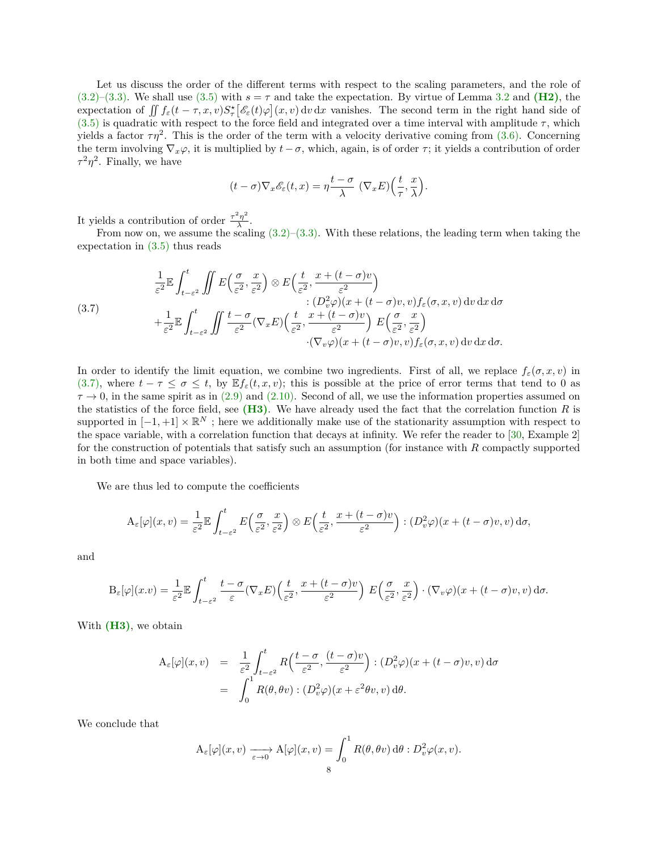Let us discuss the order of the different terms with respect to the scaling parameters, and the role of  $(3.2)$ – $(3.3)$ . We shall use  $(3.5)$  with  $s = \tau$  and take the expectation. By virtue of Lemma [3.2](#page-6-2) and **[\(H2\)](#page-5-4)**, the expectation of  $\iint f_{\varepsilon}(t-\tau,x,v)S_{\tau}^{*}[\mathscr{E}_{\varepsilon}(t)\varphi](x,v) dv dx$  vanishes. The second term in the right hand side of  $(3.5)$  is quadratic with respect to the force field and integrated over a time interval with amplitude  $\tau$ , which yields a factor  $\tau\eta^2$ . This is the order of the term with a velocity derivative coming from  $(3.6)$ . Concerning the term involving  $\nabla_x \varphi$ , it is multiplied by  $t - \sigma$ , which, again, is of order  $\tau$ ; it yields a contribution of order  $\tau^2 \eta^2$ . Finally, we have

$$
(t-\sigma)\nabla_x \mathscr{E}_\varepsilon(t,x) = \eta \frac{t-\sigma}{\lambda} \left( \nabla_x E \right) \left( \frac{t}{\tau}, \frac{x}{\lambda} \right).
$$

It yields a contribution of order  $\frac{\tau^2 \eta^2}{\lambda}$  $\frac{\eta}{\lambda}$ .

From now on, we assume the scaling  $(3.2)$ – $(3.3)$ . With these relations, the leading term when taking the expectation in [\(3.5\)](#page-6-1) thus reads

<span id="page-7-0"></span>(3.7)  
\n
$$
\frac{1}{\varepsilon^2} \mathbb{E} \int_{t-\varepsilon^2}^t \iint E\left(\frac{\sigma}{\varepsilon^2}, \frac{x}{\varepsilon^2}\right) \otimes E\left(\frac{t}{\varepsilon^2}, \frac{x+(t-\sigma)v}{\varepsilon^2}\right) \times \left(D_v^2 \varphi\right)(x+(t-\sigma)v, v) f_{\varepsilon}(\sigma, x, v) dv dx d\sigma
$$
\n
$$
+\frac{1}{\varepsilon^2} \mathbb{E} \int_{t-\varepsilon^2}^t \iint \frac{t-\sigma}{\varepsilon^2} (\nabla_x E) \left(\frac{t}{\varepsilon^2}, \frac{x+(t-\sigma)v}{\varepsilon^2}\right) E\left(\frac{\sigma}{\varepsilon^2}, \frac{x}{\varepsilon^2}\right) \cdot (\nabla_v \varphi)(x+(t-\sigma)v, v) f_{\varepsilon}(\sigma, x, v) dv dx d\sigma.
$$

In order to identify the limit equation, we combine two ingredients. First of all, we replace  $f_{\varepsilon}(\sigma, x, v)$  in [\(3.7\),](#page-7-0) where  $t - \tau \leq \sigma \leq t$ , by  $\mathbb{E} f_{\varepsilon}(t, x, v)$ ; this is possible at the price of error terms that tend to 0 as  $\tau \to 0$ , in the same spirit as in [\(2.9\)](#page-3-0) and [\(2.10\).](#page-3-2) Second of all, we use the information properties assumed on the statistics of the force field, see **[\(H3\)](#page-5-1)**. We have already used the fact that the correlation function *R* is supported in  $[-1, +1] \times \mathbb{R}^N$ ; here we additionally make use of the stationarity assumption with respect to the space variable, with a correlation function that decays at infinity. We refer the reader to [\[30,](#page-20-18) Example 2] for the construction of potentials that satisfy such an assumption (for instance with *R* compactly supported in both time and space variables).

We are thus led to compute the coefficients

$$
\mathcal{A}_{\varepsilon}[\varphi](x,v) = \frac{1}{\varepsilon^2} \mathbb{E} \int_{t-\varepsilon^2}^t E\left(\frac{\sigma}{\varepsilon^2}, \frac{x}{\varepsilon^2}\right) \otimes E\left(\frac{t}{\varepsilon^2}, \frac{x+(t-\sigma)v}{\varepsilon^2}\right) : (D_v^2 \varphi)(x+(t-\sigma)v, v) d\sigma,
$$

and

$$
\mathcal{B}_{\varepsilon}[\varphi](x,v) = \frac{1}{\varepsilon^2} \mathbb{E} \int_{t-\varepsilon^2}^t \frac{t-\sigma}{\varepsilon} (\nabla_x E) \left( \frac{t}{\varepsilon^2}, \frac{x+(t-\sigma)v}{\varepsilon^2} \right) E\left( \frac{\sigma}{\varepsilon^2}, \frac{x}{\varepsilon^2} \right) \cdot (\nabla_v \varphi)(x+(t-\sigma)v, v) d\sigma.
$$

With **[\(H3\)](#page-5-1)**, we obtain

$$
A_{\varepsilon}[\varphi](x,v) = \frac{1}{\varepsilon^2} \int_{t-\varepsilon^2}^{t} R\left(\frac{t-\sigma}{\varepsilon^2}, \frac{(t-\sigma)v}{\varepsilon^2}\right) : (D_v^2 \varphi)(x + (t-\sigma)v, v) d\sigma
$$
  
= 
$$
\int_0^1 R(\theta, \theta v) : (D_v^2 \varphi)(x + \varepsilon^2 \theta v, v) d\theta.
$$

We conclude that

$$
\mathcal{A}_{\varepsilon}[\varphi](x,v) \xrightarrow[\varepsilon \to 0]{} \mathcal{A}[\varphi](x,v) = \int_0^1 R(\theta,\theta v) d\theta : D_v^2 \varphi(x,v).
$$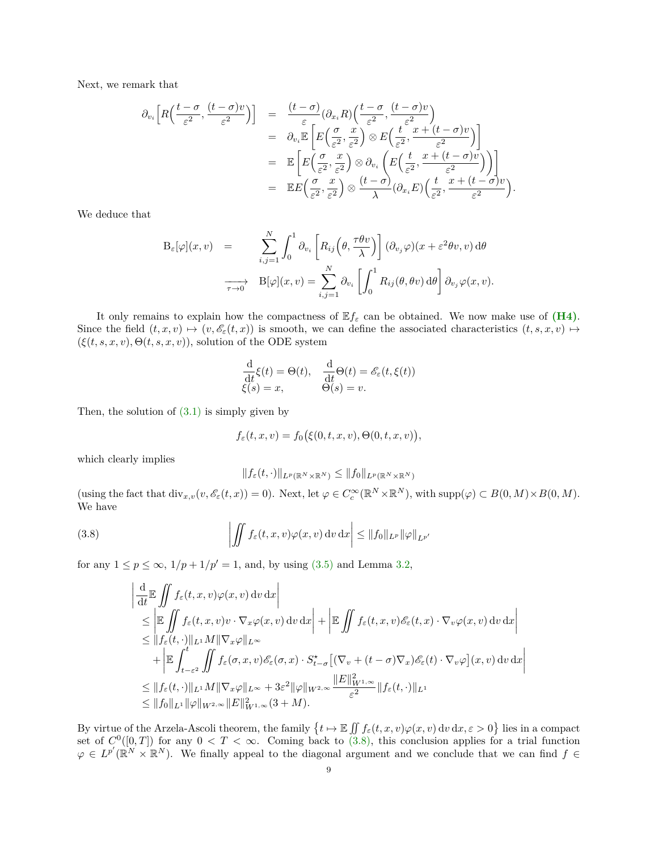Next, we remark that

$$
\partial_{v_i}\left[R\left(\frac{t-\sigma}{\varepsilon^2},\frac{(t-\sigma)v}{\varepsilon^2}\right)\right] = \frac{(t-\sigma)}{\varepsilon}(\partial_{x_i}R)\left(\frac{t-\sigma}{\varepsilon^2},\frac{(t-\sigma)v}{\varepsilon^2}\right) \n= \partial_{v_i}\mathbb{E}\left[E\left(\frac{\sigma}{\varepsilon^2},\frac{x}{\varepsilon^2}\right)\otimes E\left(\frac{t}{\varepsilon^2},\frac{x+(t-\sigma)v}{\varepsilon^2}\right)\right] \n= \mathbb{E}\left[E\left(\frac{\sigma}{\varepsilon^2},\frac{x}{\varepsilon^2}\right)\otimes\partial_{v_i}\left(E\left(\frac{t}{\varepsilon^2},\frac{x+(t-\sigma)v}{\varepsilon^2}\right)\right)\right] \n= \mathbb{E}E\left(\frac{\sigma}{\varepsilon^2},\frac{x}{\varepsilon^2}\right)\otimes\frac{(t-\sigma)}{\lambda}(\partial_{x_i}E)\left(\frac{t}{\varepsilon^2},\frac{x+(t-\sigma)v}{\varepsilon^2}\right).
$$

We deduce that

$$
B_{\varepsilon}[\varphi](x,v) = \sum_{i,j=1}^{N} \int_{0}^{1} \partial_{v_{i}} \left[ R_{ij} \left( \theta, \frac{\tau \theta v}{\lambda} \right) \right] (\partial_{v_{j}} \varphi)(x + \varepsilon^{2} \theta v, v) d\theta
$$

$$
\xrightarrow[\tau \to 0]{} B[\varphi](x,v) = \sum_{i,j=1}^{N} \partial_{v_{i}} \left[ \int_{0}^{1} R_{ij}(\theta, \theta v) d\theta \right] \partial_{v_{j}} \varphi(x,v).
$$

It only remains to explain how the compactness of  $Ef_{\varepsilon}$  can be obtained. We now make use of  $(H_4)$ . Since the field  $(t, x, v) \mapsto (v, \mathscr{E}_{\varepsilon}(t, x))$  is smooth, we can define the associated characteristics  $(t, s, x, v) \mapsto$  $(\xi(t, s, x, v), \Theta(t, s, x, v))$ , solution of the ODE system

$$
\frac{\mathrm{d}}{\mathrm{d}t}\xi(t) = \Theta(t), \quad \frac{\mathrm{d}}{\mathrm{d}t}\Theta(t) = \mathscr{E}_{\varepsilon}(t,\xi(t))
$$

$$
\xi(s) = x, \qquad \Theta(s) = v.
$$

Then, the solution of  $(3.1)$  is simply given by

$$
f_{\varepsilon}(t,x,v)=f_0(\xi(0,t,x,v),\Theta(0,t,x,v)),
$$

which clearly implies

<span id="page-8-0"></span>
$$
||f_{\varepsilon}(t,\cdot)||_{L^{p}(\mathbb{R}^{N}\times\mathbb{R}^{N})}\leq||f_{0}||_{L^{p}(\mathbb{R}^{N}\times\mathbb{R}^{N})}
$$

 $(\text{using the fact that } \text{div}_{x,v}(v, \mathscr{E}_{\varepsilon}(t,x)) = 0).$  Next, let  $\varphi \in C_c^{\infty}(\mathbb{R}^N \times \mathbb{R}^N)$ , with  $\text{supp}(\varphi) \subset B(0,M) \times B(0,M)$ . We have

(3.8) 
$$
\left| \iint f_{\varepsilon}(t, x, v) \varphi(x, v) dv dx \right| \leq ||f_0||_{L^p} ||\varphi||_{L^{p'}}
$$

for any  $1 \le p \le \infty$ ,  $1/p + 1/p' = 1$ , and, by using [\(3.5\)](#page-6-1) and Lemma [3.2,](#page-6-2)

$$
\begin{split}\n&\left|\frac{\mathrm{d}}{\mathrm{d}t}\mathbb{E}\iint f_{\varepsilon}(t,x,v)\varphi(x,v)\,\mathrm{d}v\,\mathrm{d}x\right| \\
&\leq \left|\mathbb{E}\iint f_{\varepsilon}(t,x,v)v\cdot\nabla_{x}\varphi(x,v)\,\mathrm{d}v\,\mathrm{d}x\right| + \left|\mathbb{E}\iint f_{\varepsilon}(t,x,v)\mathscr{E}_{\varepsilon}(t,x)\cdot\nabla_{v}\varphi(x,v)\,\mathrm{d}v\,\mathrm{d}x\right| \\
&\leq \|f_{\varepsilon}(t,\cdot)\|_{L^{1}}M\|\nabla_{x}\varphi\|_{L^{\infty}} \\
&\quad + \left|\mathbb{E}\int_{t-\varepsilon^{2}}^{t}\iint f_{\varepsilon}(\sigma,x,v)\mathscr{E}_{\varepsilon}(\sigma,x)\cdot S_{t-\sigma}^{\star}\left[(\nabla_{v}+(t-\sigma)\nabla_{x})\mathscr{E}_{\varepsilon}(t)\cdot\nabla_{v}\varphi\right](x,v)\,\mathrm{d}v\,\mathrm{d}x\right| \\
&\leq \|f_{\varepsilon}(t,\cdot)\|_{L^{1}}M\|\nabla_{x}\varphi\|_{L^{\infty}} + 3\varepsilon^{2}\|\varphi\|_{W^{2,\infty}}\frac{\|E\|_{W^{1,\infty}}^{2}}{\varepsilon^{2}}\|f_{\varepsilon}(t,\cdot)\|_{L^{1}} \\
&\leq \|f_{0}\|_{L^{1}}\|\varphi\|_{W^{2,\infty}}\|E\|_{W^{1,\infty}}^{2}(3+M).\n\end{split}
$$

By virtue of the Arzela-Ascoli theorem, the family  $\{t \mapsto \mathbb{E} \iint f_{\varepsilon}(t, x, v) \varphi(x, v) dv dx, \varepsilon > 0\}$  lies in a compact set of  $C^0([0,T])$  for any  $0 < T < \infty$ . Coming back to [\(3.8\),](#page-8-0) this conclusion applies for a trial function  $\varphi \in L^{p'}(\mathbb{R}^N \times \mathbb{R}^N)$ . We finally appeal to the diagonal argument and we conclude that we can find  $f \in$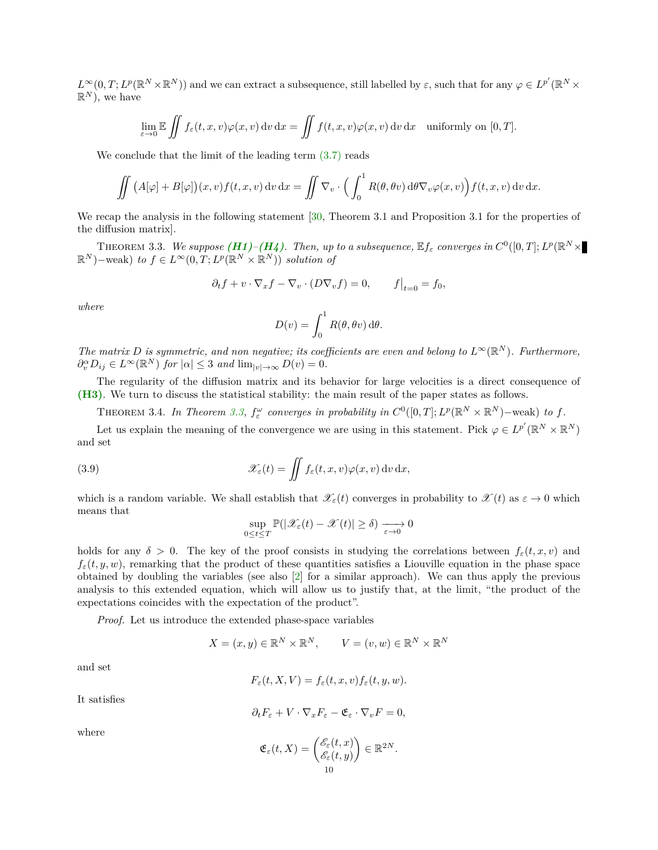$L^{\infty}(0,T; L^p(\mathbb{R}^N \times \mathbb{R}^N))$  and we can extract a subsequence, still labelled by  $\varepsilon$ , such that for any  $\varphi \in L^{p'}(\mathbb{R}^N \times$  $\mathbb{R}^N$ ), we have

$$
\lim_{\varepsilon \to 0} \mathbb{E} \iint f_{\varepsilon}(t, x, v) \varphi(x, v) dv dx = \iint f(t, x, v) \varphi(x, v) dv dx \text{ uniformly on } [0, T].
$$

We conclude that the limit of the leading term  $(3.7)$  reads

$$
\iint (A[\varphi] + B[\varphi])(x, v) f(t, x, v) dv dx = \iint \nabla_v \cdot \left( \int_0^1 R(\theta, \theta v) d\theta \nabla_v \varphi(x, v) \right) f(t, x, v) dv dx.
$$

We recap the analysis in the following statement [\[30,](#page-20-18) Theorem 3.1 and Proposition 3.1 for the properties of the diffusion matrix].

THEOREM 3.3. We suppose  $(H1)-(H4)$  $(H1)-(H4)$  $(H1)-(H4)$ . Then, up to a subsequence,  $\mathbb{E} f_{\varepsilon}$  converges in  $C^0([0,T];L^p(\mathbb{R}^N\times$  $(\mathbb{R}^N)$  – weak) *to*  $f \in L^\infty(0,T; L^p(\mathbb{R}^N \times \mathbb{R}^N))$  *solution of* 

<span id="page-9-0"></span>
$$
\partial_t f + v \cdot \nabla_x f - \nabla_v \cdot (D \nabla_v f) = 0, \qquad f\big|_{t=0} = f_0,
$$

*where*

$$
D(v) = \int_0^1 R(\theta, \theta v) \,d\theta.
$$

*The matrix D is symmetric, and non negative; its coefficients are even and belong to*  $L^{\infty}(\mathbb{R}^{N})$ *. Furthermore,*  $\partial_v^{\alpha} D_{ij} \in L^{\infty}(\mathbb{R}^N)$  *for*  $|\alpha| \leq 3$  *and*  $\lim_{|v| \to \infty} D(v) = 0$ *.* 

The regularity of the diffusion matrix and its behavior for large velocities is a direct consequence of **[\(H3\)](#page-5-1)**. We turn to discuss the statistical stability: the main result of the paper states as follows.

THEOREM 3.4. In Theorem [3.3,](#page-9-0)  $f_{\varepsilon}^{\omega}$  converges in probability in  $C^{0}([0,T]; L^{p}(\mathbb{R}^{N} \times \mathbb{R}^{N})$  – weak) to f.

Let us explain the meaning of the convergence we are using in this statement. Pick  $\varphi \in L^{p'}(\mathbb{R}^N \times \mathbb{R}^N)$ and set

(3.9) 
$$
\mathscr{X}_{\varepsilon}(t) = \iint f_{\varepsilon}(t,x,v)\varphi(x,v)\,\mathrm{d}v\,\mathrm{d}x,
$$

which is a random variable. We shall establish that  $\mathscr{X}_{\varepsilon}(t)$  converges in probability to  $\mathscr{X}(t)$  as  $\varepsilon \to 0$  which means that

<span id="page-9-1"></span>
$$
\sup_{0\leq t\leq T}\mathbb{P}(|\mathscr{X}_{\varepsilon}(t)-\mathscr{X}(t)|\geq \delta)\xrightarrow[\varepsilon\to 0]{}0
$$

holds for any  $\delta > 0$ . The key of the proof consists in studying the correlations between  $f_{\varepsilon}(t, x, v)$  and  $f_{\varepsilon}(t, y, w)$ , remarking that the product of these quantities satisfies a Liouville equation in the phase space obtained by doubling the variables (see also [\[2\]](#page-19-2) for a similar approach). We can thus apply the previous analysis to this extended equation, which will allow us to justify that, at the limit, "the product of the expectations coincides with the expectation of the product".

*Proof.* Let us introduce the extended phase-space variables

$$
X = (x, y) \in \mathbb{R}^N \times \mathbb{R}^N, \qquad V = (v, w) \in \mathbb{R}^N \times \mathbb{R}^N
$$

and set

$$
F_{\varepsilon}(t, X, V) = f_{\varepsilon}(t, x, v) f_{\varepsilon}(t, y, w).
$$

It satisfies

$$
\partial_t F_{\varepsilon} + V \cdot \nabla_x F_{\varepsilon} - \mathfrak{E}_{\varepsilon} \cdot \nabla_v F = 0,
$$

where

$$
\mathfrak{E}_{\varepsilon}(t,X)=\begin{pmatrix} \mathscr{E}_{\varepsilon}(t,x) \\ \mathscr{E}_{\varepsilon}(t,y) \end{pmatrix} \in \mathbb{R}^{2N}.
$$
  
10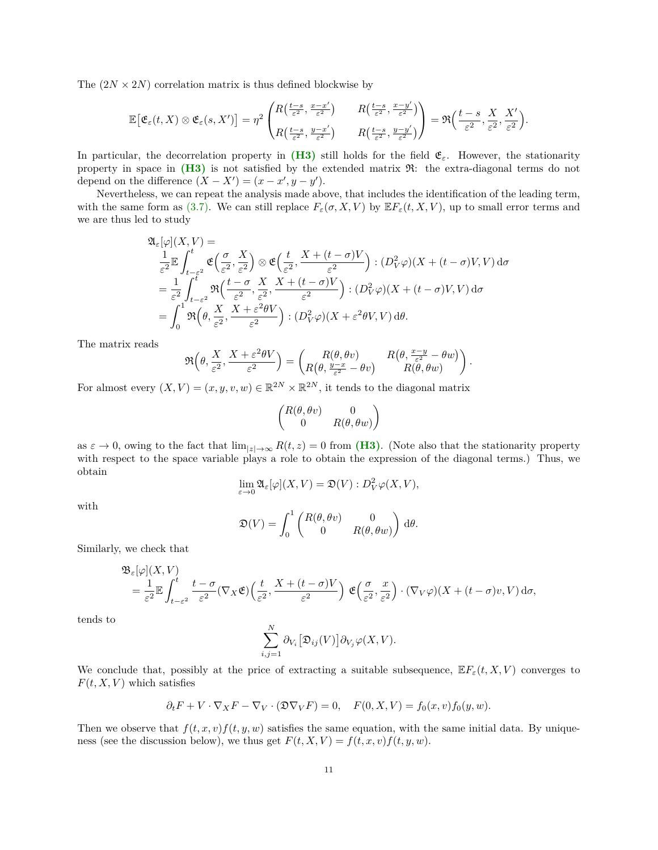The  $(2N \times 2N)$  correlation matrix is thus defined blockwise by

$$
\mathbb{E}\big[\mathfrak{E}_\varepsilon(t,X)\otimes\mathfrak{E}_\varepsilon(s,X')\big]=\eta^2\begin{pmatrix}R\big(\frac{t-s}{\varepsilon^2},\frac{x-x'}{\varepsilon^2}\big)&R\big(\frac{t-s}{\varepsilon^2},\frac{x-y'}{\varepsilon^2}\big)\\\ R\big(\frac{t-s}{\varepsilon^2},\frac{y-x'}{\varepsilon^2}\big)&R\big(\frac{t-s}{\varepsilon^2},\frac{y-y'}{\varepsilon^2}\big)\end{pmatrix}=\mathfrak{R}\Big(\frac{t-s}{\varepsilon^2},\frac{X}{\varepsilon^2},\frac{X'}{\varepsilon^2}\Big).
$$

In particular, the decorrelation property in  $(H3)$  still holds for the field  $\mathfrak{E}_{\varepsilon}$ . However, the stationarity property in space in **[\(H3\)](#page-5-1)** is not satisfied by the extended matrix R: the extra-diagonal terms do not depend on the difference  $(X - X') = (x - x', y - y')$ .

Nevertheless, we can repeat the analysis made above, that includes the identification of the leading term, with the same form as [\(3.7\).](#page-7-0) We can still replace  $F_{\varepsilon}(\sigma, X, V)$  by  $\mathbb{E}F_{\varepsilon}(t, X, V)$ , up to small error terms and we are thus led to study

$$
\begin{split} &\mathfrak{A}_\varepsilon[\varphi](X,V) = \\ &\frac{1}{\varepsilon^2}\mathbb{E}\int_{t-\varepsilon^2}^t \mathfrak{E}\Big(\frac{\sigma}{\varepsilon^2},\frac{X}{\varepsilon^2}\Big)\otimes \mathfrak{E}\Big(\frac{t}{\varepsilon^2},\frac{X+(t-\sigma)V}{\varepsilon^2}\Big): (D_V^2\varphi)(X+(t-\sigma)V,V)\,\mathrm{d}\sigma \\ &=\frac{1}{\varepsilon^2}\int_{t-\varepsilon^2}^t \mathfrak{R}\Big(\frac{t-\sigma}{\varepsilon^2},\frac{X}{\varepsilon^2},\frac{X+(t-\sigma)V}{\varepsilon^2}\Big): (D_V^2\varphi)(X+(t-\sigma)V,V)\,\mathrm{d}\sigma \\ &=\int_0^1 \mathfrak{R}\Big(\theta,\frac{X}{\varepsilon^2},\frac{X+\varepsilon^2\theta V}{\varepsilon^2}\Big): (D_V^2\varphi)(X+\varepsilon^2\theta V,V)\,\mathrm{d}\theta. \end{split}
$$

The matrix reads

$$
\Re\left(\theta,\frac{X}{\varepsilon^2},\frac{X+\varepsilon^2\theta V}{\varepsilon^2}\right)=\begin{pmatrix}R(\theta,\theta v) & R\big(\theta,\frac{x-y}{\varepsilon^2}-\theta w\big)\\ R\big(\theta,\frac{y-x}{\varepsilon^2}-\theta v\big) & R(\theta,\theta w)\end{pmatrix}
$$

*.*

For almost every  $(X, V) = (x, y, v, w) \in \mathbb{R}^{2N} \times \mathbb{R}^{2N}$ , it tends to the diagonal matrix

$$
\begin{pmatrix} R(\theta, \theta v) & 0 \\ 0 & R(\theta, \theta w) \end{pmatrix}
$$

as  $\varepsilon \to 0$ , owing to the fact that  $\lim_{|z| \to \infty} R(t, z) = 0$  from **[\(H3\)](#page-5-1)**. (Note also that the stationarity property with respect to the space variable plays a role to obtain the expression of the diagonal terms.) Thus, we obtain

$$
\lim_{\varepsilon \to 0} \mathfrak{A}_{\varepsilon}[\varphi](X, V) = \mathfrak{D}(V) : D_V^2 \varphi(X, V),
$$

with

$$
\mathfrak{D}(V) = \int_0^1 \begin{pmatrix} R(\theta, \theta v) & 0 \\ 0 & R(\theta, \theta w) \end{pmatrix} d\theta.
$$

Similarly, we check that

B*ε*[*ϕ*](*X, V* )

$$
\mathfrak{B}_{\varepsilon}[\varphi](X,V) = \frac{1}{\varepsilon^2} \mathbb{E} \int_{t-\varepsilon^2}^t \frac{t-\sigma}{\varepsilon^2} (\nabla_X \mathfrak{E}) \Big( \frac{t}{\varepsilon^2}, \frac{X+(t-\sigma)V}{\varepsilon^2} \Big) \mathfrak{E} \Big( \frac{\sigma}{\varepsilon^2}, \frac{x}{\varepsilon^2} \Big) \cdot (\nabla_V \varphi)(X+(t-\sigma)v, V) d\sigma,
$$

tends to

$$
\sum_{i,j=1}^N \partial_{V_i} \big[ \mathfrak{D}_{ij}(V) \big] \partial_{V_j} \varphi(X,V).
$$

We conclude that, possibly at the price of extracting a suitable subsequence,  $\mathbb{E} F_{\varepsilon}(t, X, V)$  converges to  $F(t, X, V)$  which satisfies

$$
\partial_t F + V \cdot \nabla_X F - \nabla_V \cdot (\mathfrak{D} \nabla_V F) = 0, \quad F(0, X, V) = f_0(x, v) f_0(y, w).
$$

Then we observe that  $f(t, x, v)f(t, y, w)$  satisfies the same equation, with the same initial data. By uniqueness (see the discussion below), we thus get  $F(t, X, V) = f(t, x, v)f(t, y, w)$ .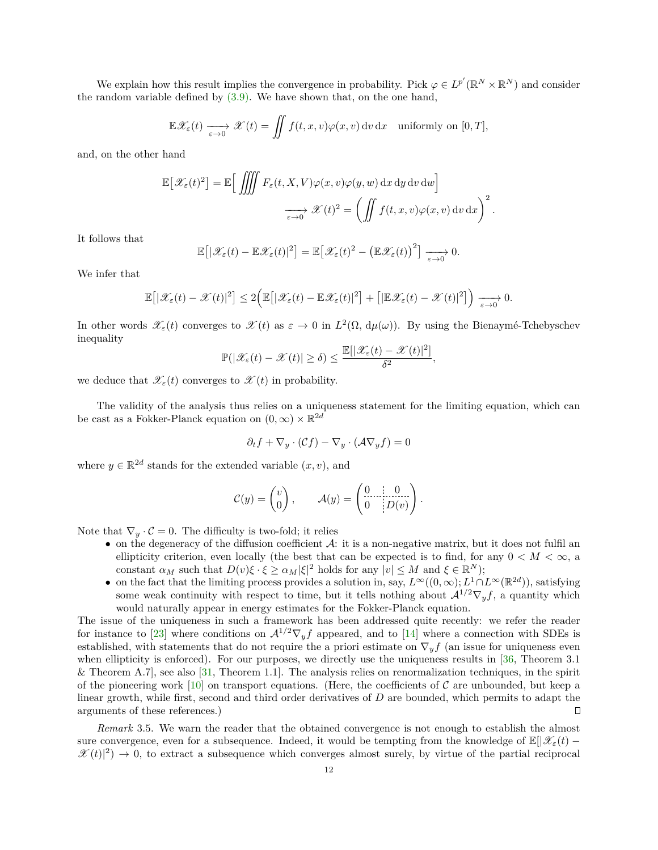We explain how this result implies the convergence in probability. Pick  $\varphi \in L^{p'}(\mathbb{R}^N \times \mathbb{R}^N)$  and consider the random variable defined by  $(3.9)$ . We have shown that, on the one hand,

$$
\mathbb{E}\mathscr{X}_{\varepsilon}(t) \xrightarrow[\varepsilon \to 0]{} \mathscr{X}(t) = \iint f(t,x,v)\varphi(x,v) \,dv \,dx \quad \text{uniformly on } [0,T],
$$

and, on the other hand

$$
\mathbb{E}\left[\mathcal{X}_{\varepsilon}(t)^{2}\right] = \mathbb{E}\left[\iiint F_{\varepsilon}(t, X, V)\varphi(x, v)\varphi(y, w) dx dy dv dw\right]
$$

$$
\xrightarrow[\varepsilon \to 0]{} \mathcal{X}(t)^{2} = \left(\iint f(t, x, v)\varphi(x, v) dv dx\right)^{2}
$$

*.*

*,*

It follows that

$$
\mathbb{E}\big[|\mathscr{X}_{\varepsilon}(t)-\mathbb{E}\mathscr{X}_{\varepsilon}(t)|^{2}\big]=\mathbb{E}\big[\mathscr{X}_{\varepsilon}(t)^{2}-\big(\mathbb{E}\mathscr{X}_{\varepsilon}(t)\big)^{2}\big]\xrightarrow[\varepsilon\to 0]{}0.
$$

We infer that

$$
\mathbb{E}\big[|\mathscr{X}_{\varepsilon}(t)-\mathscr{X}(t)|^2\big]\leq 2\Big(\mathbb{E}\big[|\mathscr{X}_{\varepsilon}(t)-\mathbb{E}\mathscr{X}_{\varepsilon}(t)|^2\big]+\big[|\mathbb{E}\mathscr{X}_{\varepsilon}(t)-\mathscr{X}(t)|^2\big]\Big)\xrightarrow[\varepsilon\to 0]{}0.
$$

In other words  $\mathscr{X}_{\varepsilon}(t)$  converges to  $\mathscr{X}(t)$  as  $\varepsilon \to 0$  in  $L^2(\Omega, d\mu(\omega))$ . By using the Bienaymé-Tchebyschev inequality

$$
\mathbb{P}(|\mathcal{X}_{\varepsilon}(t) - \mathcal{X}(t)| \ge \delta) \le \frac{\mathbb{E}[|\mathcal{X}_{\varepsilon}(t) - \mathcal{X}(t)|^2]}{\delta^2}
$$

we deduce that  $\mathscr{X}_{\varepsilon}(t)$  converges to  $\mathscr{X}(t)$  in probability.

The validity of the analysis thus relies on a uniqueness statement for the limiting equation, which can be cast as a Fokker-Planck equation on  $(0, \infty) \times \mathbb{R}^{2d}$ 

$$
\partial_t f + \nabla_y \cdot (\mathcal{C}f) - \nabla_y \cdot (\mathcal{A} \nabla_y f) = 0
$$

where  $y \in \mathbb{R}^{2d}$  stands for the extended variable  $(x, v)$ , and

$$
\mathcal{C}(y) = \begin{pmatrix} v \\ 0 \end{pmatrix}, \quad \mathcal{A}(y) = \begin{pmatrix} 0 & 0 \\ 0 & |D(v)| \end{pmatrix}.
$$

Note that  $\nabla_y \cdot \mathcal{C} = 0$ . The difficulty is two-fold; it relies

- on the degeneracy of the diffusion coefficient  $\mathcal{A}$ : it is a non-negative matrix, but it does not fulfil an ellipticity criterion, even locally (the best that can be expected is to find, for any  $0 < M < \infty$ , a constant  $\alpha_M$  such that  $D(v)\xi \cdot \xi \geq \alpha_M |\xi|^2$  holds for any  $|v| \leq M$  and  $\xi \in \mathbb{R}^N$ );
- on the fact that the limiting process provides a solution in, say,  $L^{\infty}((0,\infty); L^{1} \cap L^{\infty}(\mathbb{R}^{2d}))$ , satisfying some weak continuity with respect to time, but it tells nothing about  $\mathcal{A}^{1/2} \nabla_y f$ , a quantity which would naturally appear in energy estimates for the Fokker-Planck equation.

The issue of the uniqueness in such a framework has been addressed quite recently: we refer the reader for instance to [\[23\]](#page-20-26) where conditions on  $\mathcal{A}^{1/2} \nabla_y f$  appeared, and to [\[14\]](#page-20-27) where a connection with SDEs is established, with statements that do not require the a priori estimate on  $\nabla_y f$  (an issue for uniqueness even when ellipticity is enforced). For our purposes, we directly use the uniqueness results in [\[36,](#page-20-28) Theorem 3.1] & Theorem A.7], see also [\[31,](#page-20-29) Theorem 1.1]. The analysis relies on renormalization techniques, in the spirit of the pioneering work [\[10\]](#page-20-30) on transport equations. (Here, the coefficients of  $\mathcal C$  are unbounded, but keep a linear growth, while first, second and third order derivatives of *D* are bounded, which permits to adapt the arguments of these references.)  $\Box$ 

*Remark* 3.5. We warn the reader that the obtained convergence is not enough to establish the almost sure convergence, even for a subsequence. Indeed, it would be tempting from the knowledge of  $\mathbb{E}[\mathcal{X}_{\varepsilon}(t) \mathscr{X}(t)|^2$   $\to$  0, to extract a subsequence which converges almost surely, by virtue of the partial reciprocal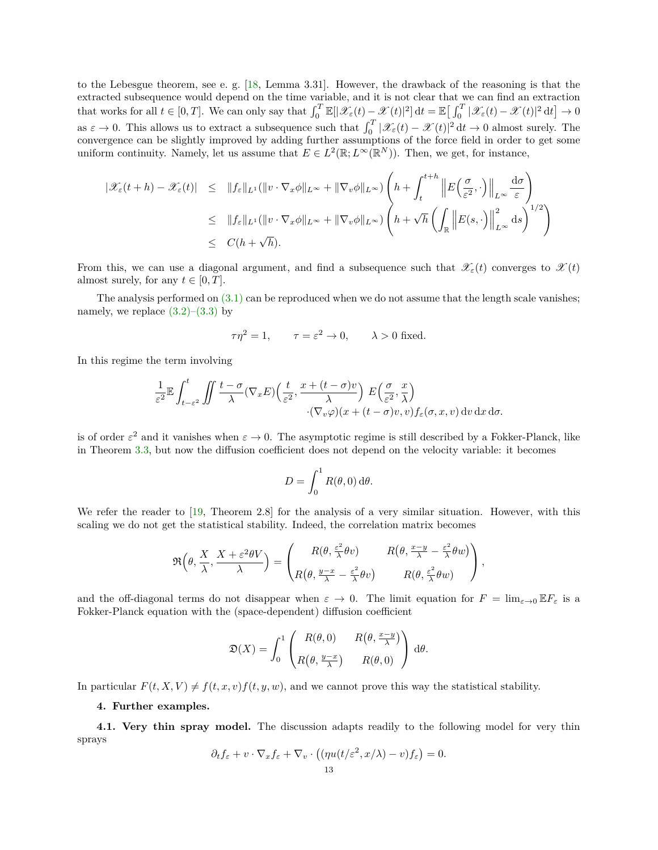to the Lebesgue theorem, see e. g. [\[18,](#page-20-31) Lemma 3.31]. However, the drawback of the reasoning is that the extracted subsequence would depend on the time variable, and it is not clear that we can find an extraction that works for all  $t \in [0, T]$ . We can only say that  $\int_0^T \mathbb{E}[|\mathscr{X}_{\varepsilon}(t) - \mathscr{X}(t)|^2] dt = \mathbb{E}[\int_0^T |\mathscr{X}_{\varepsilon}(t) - \mathscr{X}(t)|^2 dt] \to 0$ as  $\varepsilon \to 0$ . This allows us to extract a subsequence such that  $\int_0^T |\mathcal{X}_{\varepsilon}(t) - \mathcal{X}(t)|^2 dt \to 0$  almost surely. The convergence can be slightly improved by adding further assumptions of the force field in order to get some uniform continuity. Namely, let us assume that  $E \in L^2(\mathbb{R}; L^\infty(\mathbb{R}^N))$ . Then, we get, for instance,

$$
\begin{array}{rcl} \|\mathscr{X}_{\varepsilon}(t+h)-\mathscr{X}_{\varepsilon}(t)\| &\leq & \|f_{\varepsilon}\|_{L^{1}}(\|v\cdot\nabla_{x}\phi\|_{L^{\infty}}+\|\nabla_{v}\phi\|_{L^{\infty}})\left(h+\int_{t}^{t+h}\left\|E\left(\frac{\sigma}{\varepsilon^{2}},\cdot\right)\right\|_{L^{\infty}}\frac{\mathrm{d}\sigma}{\varepsilon}\right) \\ &\leq & \|f_{\varepsilon}\|_{L^{1}}(\|v\cdot\nabla_{x}\phi\|_{L^{\infty}}+\|\nabla_{v}\phi\|_{L^{\infty}})\left(h+\sqrt{h}\left(\int_{\mathbb{R}}\left\|E(s,\cdot)\right\|_{L^{\infty}}^{2}\mathrm{d}s\right)^{1/2}\right) \\ &\leq & C(h+\sqrt{h}). \end{array}
$$

From this, we can use a diagonal argument, and find a subsequence such that  $\mathscr{X}_{\varepsilon}(t)$  converges to  $\mathscr{X}(t)$ almost surely, for any  $t \in [0, T]$ .

The analysis performed on  $(3.1)$  can be reproduced when we do not assume that the length scale vanishes; namely, we replace  $(3.2)$ – $(3.3)$  by

$$
\tau \eta^2 = 1
$$
,  $\tau = \varepsilon^2 \to 0$ ,  $\lambda > 0$  fixed.

In this regime the term involving

$$
\frac{1}{\varepsilon^2} \mathbb{E} \int_{t-\varepsilon^2}^t \iint \frac{t-\sigma}{\lambda} (\nabla_x E) \left( \frac{t}{\varepsilon^2}, \frac{x+(t-\sigma)v}{\lambda} \right) E \left( \frac{\sigma}{\varepsilon^2}, \frac{x}{\lambda} \right) \cdot (\nabla_v \varphi)(x+(t-\sigma)v, v) f_{\varepsilon}(\sigma, x, v) dv dx d\sigma.
$$

is of order  $\varepsilon^2$  and it vanishes when  $\varepsilon \to 0$ . The asymptotic regime is still described by a Fokker-Planck, like in Theorem [3.3,](#page-9-0) but now the diffusion coefficient does not depend on the velocity variable: it becomes

$$
D = \int_0^1 R(\theta, 0) \, d\theta.
$$

We refer the reader to [\[19,](#page-20-22) Theorem 2.8] for the analysis of a very similar situation. However, with this scaling we do not get the statistical stability. Indeed, the correlation matrix becomes

$$
\Re\left(\theta, \frac{X}{\lambda}, \frac{X+\varepsilon^2\theta V}{\lambda}\right) = \begin{pmatrix} R(\theta, \frac{\varepsilon^2}{\lambda}\theta v) & R(\theta, \frac{x-y}{\lambda} - \frac{\varepsilon^2}{\lambda}\theta w) \\ R(\theta, \frac{y-x}{\lambda} - \frac{\varepsilon^2}{\lambda}\theta v) & R(\theta, \frac{\varepsilon^2}{\lambda}\theta w) \end{pmatrix},
$$

and the off-diagonal terms do not disappear when  $\varepsilon \to 0$ . The limit equation for  $F = \lim_{\varepsilon \to 0} \mathbb{E} F_{\varepsilon}$  is a Fokker-Planck equation with the (space-dependent) diffusion coefficient

$$
\mathfrak{D}(X) = \int_0^1 \begin{pmatrix} R(\theta,0) & R(\theta, \frac{x-y}{\lambda}) \\ R(\theta, \frac{y-x}{\lambda}) & R(\theta,0) \end{pmatrix} d\theta.
$$

In particular  $F(t, X, V) \neq f(t, x, v) f(t, y, w)$ , and we cannot prove this way the statistical stability.

## <span id="page-12-0"></span>**4. Further examples.**

**4.1. Very thin spray model.** The discussion adapts readily to the following model for very thin sprays

$$
\partial_t f_{\varepsilon} + v \cdot \nabla_x f_{\varepsilon} + \nabla_v \cdot ((\eta u(t/\varepsilon^2, x/\lambda) - v) f_{\varepsilon}) = 0.
$$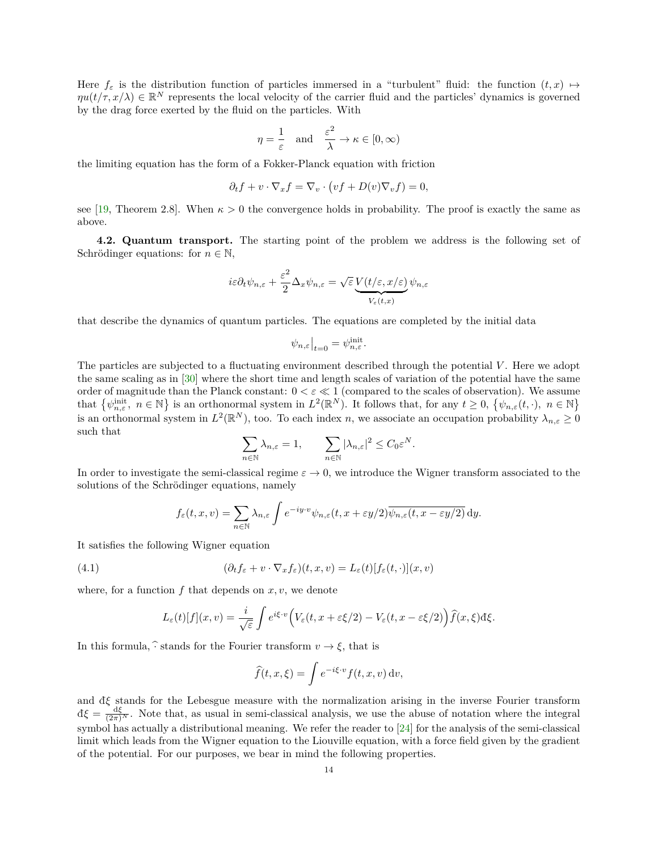Here  $f_{\varepsilon}$  is the distribution function of particles immersed in a "turbulent" fluid: the function  $(t, x) \mapsto$  $\eta u(t/\tau, x/\lambda) \in \mathbb{R}^N$  represents the local velocity of the carrier fluid and the particles' dynamics is governed by the drag force exerted by the fluid on the particles. With

$$
\eta = \frac{1}{\varepsilon} \quad \text{and} \quad \frac{\varepsilon^2}{\lambda} \to \kappa \in [0, \infty)
$$

the limiting equation has the form of a Fokker-Planck equation with friction

$$
\partial_t f + v \cdot \nabla_x f = \nabla_v \cdot \left( v f + D(v) \nabla_v f \right) = 0,
$$

see [\[19,](#page-20-22) Theorem 2.8]. When  $\kappa > 0$  the convergence holds in probability. The proof is exactly the same as above.

**4.2. Quantum transport.** The starting point of the problem we address is the following set of Schrödinger equations: for  $n \in \mathbb{N}$ ,

$$
i\varepsilon \partial_t \psi_{n,\varepsilon} + \frac{\varepsilon^2}{2} \Delta_x \psi_{n,\varepsilon} = \sqrt{\varepsilon} \underbrace{V(t/\varepsilon, x/\varepsilon)}_{V_\varepsilon(t,x)} \psi_{n,\varepsilon}
$$

that describe the dynamics of quantum particles. The equations are completed by the initial data

$$
\psi_{n,\varepsilon}\big|_{t=0}=\psi_{n,\varepsilon}^{\rm init}.
$$

The particles are subjected to a fluctuating environment described through the potential V. Here we adopt the same scaling as in [\[30\]](#page-20-18) where the short time and length scales of variation of the potential have the same order of magnitude than the Planck constant:  $0 < \varepsilon \ll 1$  (compared to the scales of observation). We assume that  $\{\psi_{n,\varepsilon}^{\text{init}}, n \in \mathbb{N}\}\$ is an orthonormal system in  $L^2(\mathbb{R}^N)$ . It follows that, for any  $t \geq 0$ ,  $\{\psi_{n,\varepsilon}(t,\cdot), n \in \mathbb{N}\}\$ is an orthonormal system in  $L^2(\mathbb{R}^N)$ , too. To each index *n*, we associate an occupation probability  $\lambda_{n,\varepsilon} \geq 0$ such that

$$
\sum_{n\in\mathbb{N}}\lambda_{n,\varepsilon}=1,\qquad \sum_{n\in\mathbb{N}}|\lambda_{n,\varepsilon}|^2\leq C_0\varepsilon^N.
$$

In order to investigate the semi-classical regime  $\varepsilon \to 0$ , we introduce the Wigner transform associated to the solutions of the Schrödinger equations, namely

<span id="page-13-0"></span>
$$
f_{\varepsilon}(t,x,v) = \sum_{n \in \mathbb{N}} \lambda_{n,\varepsilon} \int e^{-iy \cdot v} \psi_{n,\varepsilon}(t, x + \varepsilon y/2) \overline{\psi_{n,\varepsilon}(t, x - \varepsilon y/2)} dy.
$$

It satisfies the following Wigner equation

(4.1) 
$$
(\partial_t f_{\varepsilon} + v \cdot \nabla_x f_{\varepsilon})(t, x, v) = L_{\varepsilon}(t)[f_{\varepsilon}(t, \cdot)](x, v)
$$

where, for a function  $f$  that depends on  $x, v$ , we denote

$$
L_{\varepsilon}(t)[f](x,v) = \frac{i}{\sqrt{\varepsilon}} \int e^{i\xi \cdot v} \Big( V_{\varepsilon}(t,x + \varepsilon \xi/2) - V_{\varepsilon}(t,x - \varepsilon \xi/2) \Big) \widehat{f}(x,\xi) d\xi.
$$

In this formula,  $\hat{\cdot}$  stands for the Fourier transform  $v \to \xi$ , that is

$$
\widehat{f}(t,x,\xi) = \int e^{-i\xi \cdot v} f(t,x,v) \, dv,
$$

and  $d\xi$  stands for the Lebesgue measure with the normalization arising in the inverse Fourier transform  $d\xi = \frac{d\xi}{(2\pi)^N}$ . Note that, as usual in semi-classical analysis, we use the abuse of notation where the integral symbol has actually a distributional meaning. We refer the reader to [\[24\]](#page-20-32) for the analysis of the semi-classical limit which leads from the Wigner equation to the Liouville equation, with a force field given by the gradient of the potential. For our purposes, we bear in mind the following properties.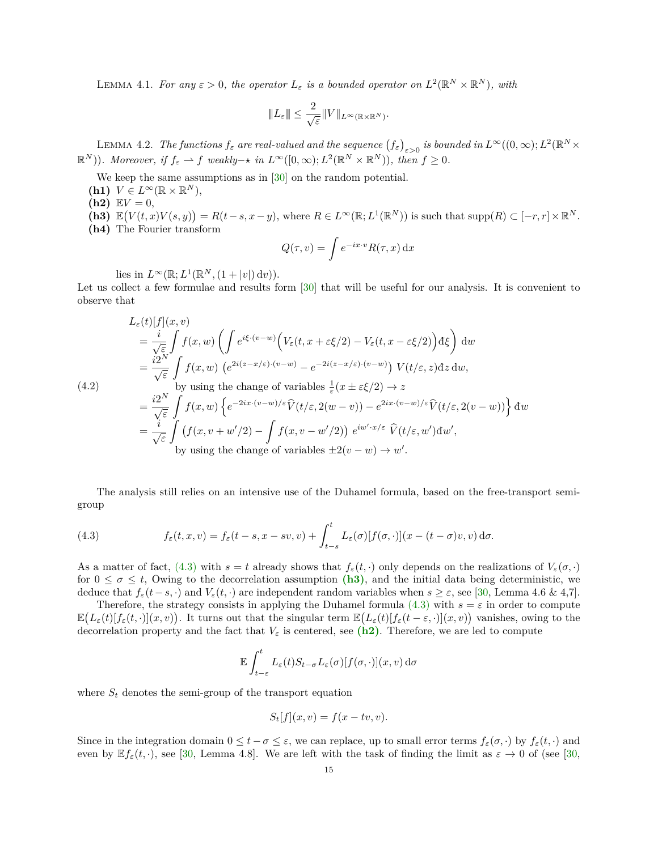LEMMA 4.1. *For any*  $\varepsilon > 0$ , the operator  $L_{\varepsilon}$  is a bounded operator on  $L^2(\mathbb{R}^N \times \mathbb{R}^N)$ , with

$$
|\!|\!| L_\varepsilon |\!|\!| \leq \frac{2}{\sqrt{\varepsilon}} |\!| V |\!|\!|_{L^\infty(\mathbb{R}\times\mathbb{R}^N)}.
$$

LEMMA 4.2. *The functions*  $f_{\varepsilon}$  are real-valued and the sequence  $(f_{\varepsilon})_{\varepsilon>0}$  is bounded in  $L^{\infty}((0,\infty);L^2(\mathbb{R}^N\times$  $(\mathbb{R}^N)$ )*. Moreover, if*  $f_{\varepsilon} \to f$  *weakly* $\to$  *in*  $L^{\infty}([0,\infty); L^2(\mathbb{R}^N \times \mathbb{R}^N)$ *), then*  $f \geq 0$ *.* 

- We keep the same assumptions as in [\[30\]](#page-20-18) on the random potential.
- $(K1)$   $V \in L^{\infty}(\mathbb{R} \times \mathbb{R}^{N}),$
- <span id="page-14-2"></span> $(h2)$   $EV = 0$ ,

<span id="page-14-3"></span>(4.2)

- <span id="page-14-1"></span> $\mathbf{R} \in L^{\infty}(\mathbb{R}; L^{1}(\mathbb{R}^{N}))$  is such that  $\text{supp}(R) \subset [-r, r] \times \mathbb{R}^{N}$ .
- <span id="page-14-4"></span>**(h4)** The Fourier transform

$$
Q(\tau, v) = \int e^{-ix \cdot v} R(\tau, x) \, dx
$$

lies in  $L^{\infty}(\mathbb{R}; L^{1}(\mathbb{R}^{N}, (1+|v|) dv)).$ 

Let us collect a few formulae and results form  $[30]$  that will be useful for our analysis. It is convenient to observe that

$$
L_{\varepsilon}(t)[f](x,v)
$$
  
\n
$$
= \frac{i}{\sqrt{\varepsilon}} \int f(x,w) \left( \int e^{i\xi \cdot (v-w)} \Big( V_{\varepsilon}(t, x + \varepsilon \xi/2) - V_{\varepsilon}(t, x - \varepsilon \xi/2) \Big) d\xi \right) dw
$$
  
\n
$$
= \frac{i2^{N}}{\sqrt{\varepsilon}} \int f(x,w) \left( e^{2i(z-x/\varepsilon)\cdot (v-w)} - e^{-2i(z-x/\varepsilon)\cdot (v-w)} \right) V(t/\varepsilon, z) dz dw,
$$
  
\nby using the change of variables  $\frac{1}{\varepsilon}(x \pm \varepsilon \xi/2) \to z$   
\n
$$
= \frac{i2^{N}}{\sqrt{\varepsilon}} \int f(x,w) \left\{ e^{-2ix \cdot (v-w)/\varepsilon} \widehat{V}(t/\varepsilon, 2(w-v)) - e^{2ix \cdot (v-w)/\varepsilon} \widehat{V}(t/\varepsilon, 2(v-w)) \right\} dw
$$
  
\n
$$
= \frac{i}{\sqrt{\varepsilon}} \int (f(x, v+w'/2) - \int f(x, v-w'/2)) e^{iw' \cdot x/\varepsilon} \widehat{V}(t/\varepsilon, w') dw',
$$
  
\nby using the change of variables  $\pm 2(v-w) \to w'.$ 

The analysis still relies on an intensive use of the Duhamel formula, based on the free-transport semigroup

<span id="page-14-0"></span>(4.3) 
$$
f_{\varepsilon}(t,x,v) = f_{\varepsilon}(t-s,x-sv,v) + \int_{t-s}^{t} L_{\varepsilon}(\sigma)[f(\sigma,\cdot)](x-(t-\sigma)v,v) d\sigma.
$$

As a matter of fact, [\(4.3\)](#page-14-0) with  $s = t$  already shows that  $f_{\varepsilon}(t, \cdot)$  only depends on the realizations of  $V_{\varepsilon}(\sigma, \cdot)$ for  $0 \leq \sigma \leq t$ , Owing to the decorrelation assumption [\(h3\)](#page-14-1), and the initial data being deterministic, we deduce that  $f_{\varepsilon}(t-s,\cdot)$  and  $V_{\varepsilon}(t,\cdot)$  are independent random variables when  $s \geq \varepsilon$ , see [\[30,](#page-20-18) Lemma 4.6 & 4,7].

Therefore, the strategy consists in applying the Duhamel formula [\(4.3\)](#page-14-0) with  $s = \varepsilon$  in order to compute  $\mathbb{E}\left(L_{\varepsilon}(t)[f_{\varepsilon}(t,\cdot)](x,v)\right)$ . It turns out that the singular term  $\mathbb{E}\left(L_{\varepsilon}(t)[f_{\varepsilon}(t-\varepsilon,\cdot)](x,v)\right)$  vanishes, owing to the decorrelation property and the fact that  $V_{\varepsilon}$  is centered, see [\(h2\)](#page-14-2). Therefore, we are led to compute

$$
\mathbb{E}\int_{t-\varepsilon}^{t}L_{\varepsilon}(t)S_{t-\sigma}L_{\varepsilon}(\sigma)[f(\sigma,\cdot)](x,v)\,\mathrm{d}\sigma
$$

where  $S_t$  denotes the semi-group of the transport equation

$$
S_t[f](x,v) = f(x - tv, v).
$$

Since in the integration domain  $0 \le t - \sigma \le \varepsilon$ , we can replace, up to small error terms  $f_{\varepsilon}(\sigma, \cdot)$  by  $f_{\varepsilon}(t, \cdot)$  and even by  $\mathbb{E} f_{\varepsilon}(t, \cdot)$ , see [\[30,](#page-20-18) Lemma 4.8]. We are left with the task of finding the limit as  $\varepsilon \to 0$  of (see [30,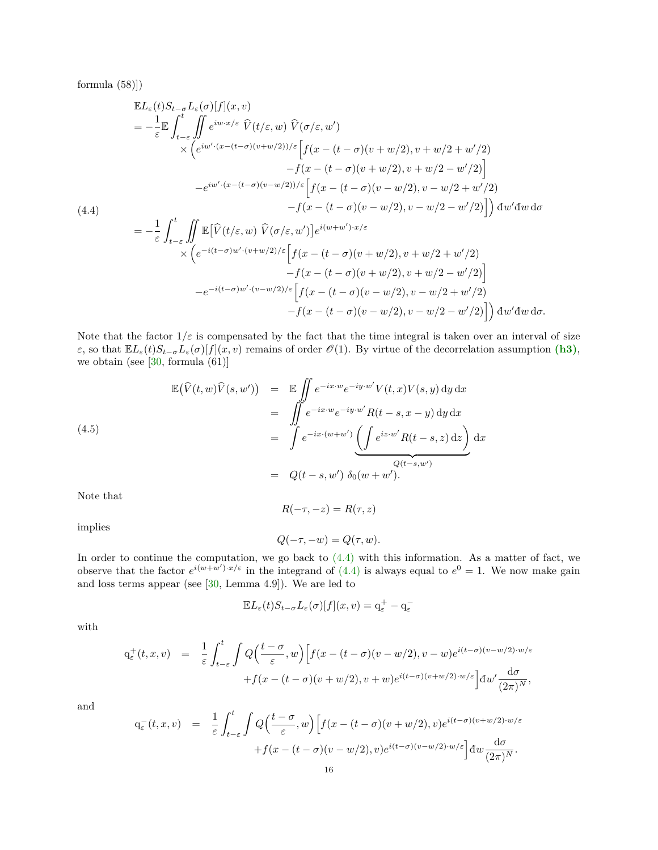formula (58)])

<span id="page-15-0"></span>
$$
\mathbb{E}L_{\varepsilon}(t)S_{t-\sigma}L_{\varepsilon}(\sigma)[f](x,v) \n= -\frac{1}{\varepsilon}\mathbb{E}\int_{t-\varepsilon}^{t}\int_{0}^{t}e^{iw\cdot x/\varepsilon} \widehat{V}(t/\varepsilon,w) \widehat{V}(\sigma/\varepsilon,w') \n\times \left(e^{iw'\cdot(x-(t-\sigma)(v+w/2))/\varepsilon}\Big[f(x-(t-\sigma)(v+w/2),v+w/2+w'/2) - f(x-(t-\sigma)(v+w/2),v+w/2-w'/2)\Big] \n- e^{iw'\cdot(x-(t-\sigma)(v-w/2))/\varepsilon}\Big[f(x-(t-\sigma)(v-w/2),v-w/2+w'/2) - f(x-(t-\sigma)(v-w/2),v-w/2-w'/2)\Big]\right) dw'dw d\sigma \n= -\frac{1}{\varepsilon}\int_{t-\varepsilon}^{t}\iint_{-\varepsilon}\mathbb{E}[\widehat{V}(t/\varepsilon,w) \widehat{V}(\sigma/\varepsilon,w')] e^{i(w+w')\cdot x/\varepsilon} \n\times \left(e^{-i(t-\sigma)w'\cdot(v+w/2)/\varepsilon}\Big[f(x-(t-\sigma)(v+w/2),v+w/2+w'/2) -f(x-(t-\sigma)(v+w/2),v+w/2-w'/2)\Big] \n- e^{-i(t-\sigma)w'\cdot(v-w/2)/\varepsilon}\Big[f(x-(t-\sigma)(v-w/2),v+w/2-w'/2) -f(x-(t-\sigma)(v-w/2),v-w/2+w'/2)\Big] dw'dw d\sigma.
$$

Note that the factor  $1/\varepsilon$  is compensated by the fact that the time integral is taken over an interval of size *ε*, so that  $\mathbb{E}L_{\varepsilon}(t)S_{t-\sigma}L_{\varepsilon}(\sigma)[f](x,v)$  remains of order  $\mathcal{O}(1)$ . By virtue of the decorrelation assumption [\(h3\)](#page-14-1), we obtain (see  $[30, \text{ formula } (61)]$  $[30, \text{ formula } (61)]$ 

<span id="page-15-1"></span>(4.5)  
\n
$$
\mathbb{E}(\widehat{V}(t,w)\widehat{V}(s,w')) = \mathbb{E} \iint e^{-ix \cdot w} e^{-iy \cdot w'} V(t,x) V(s,y) dy dx
$$
\n
$$
= \iint e^{-ix \cdot w} e^{-iy \cdot w'} R(t-s,x-y) dy dx
$$
\n
$$
= \int e^{-ix \cdot (w+w')} \underbrace{\left(\int e^{iz \cdot w'} R(t-s,z) dz\right)}_{\mathcal{Q}(t-s,w')} dx
$$
\n
$$
= Q(t-s,w') \delta_0(w+w').
$$

Note that

implies

$$
Q(-\tau, -w) = Q(\tau, w).
$$

*R*( $-\tau$ ,  $-z$ ) = *R*( $\tau$ , *z*)

In order to continue the computation, we go back to [\(4.4\)](#page-15-0) with this information. As a matter of fact, we observe that the factor  $e^{i(w+w')\cdot x/\varepsilon}$  in the integrand of [\(4.4\)](#page-15-0) is always equal to  $e^{0} = 1$ . We now make gain and loss terms appear (see [\[30,](#page-20-18) Lemma 4.9]). We are led to

$$
\mathbb{E} L_{\varepsilon}(t) S_{t-\sigma} L_{\varepsilon}(\sigma)[f](x,v) = \mathbf{q}_{\varepsilon}^+ - \mathbf{q}_{\varepsilon}^-
$$

with

$$
q_{\varepsilon}^{+}(t,x,v) = \frac{1}{\varepsilon} \int_{t-\varepsilon}^{t} \int Q\Big(\frac{t-\sigma}{\varepsilon},w\Big) \Big[f(x-(t-\sigma)(v-w/2),v-w)e^{i(t-\sigma)(v-w/2)\cdot w/\varepsilon} + f(x-(t-\sigma)(v+w/2),v+w)e^{i(t-\sigma)(v+w/2)\cdot w/\varepsilon}\Big] dw' \frac{d\sigma}{(2\pi)^N},
$$

and

$$
q_{\varepsilon}^-(t,x,v) = \frac{1}{\varepsilon} \int_{t-\varepsilon}^t \int Q\Big(\frac{t-\sigma}{\varepsilon},w\Big) \Big[f(x-(t-\sigma)(v+w/2),v)e^{i(t-\sigma)(v+w/2)\cdot w/\varepsilon} + f(x-(t-\sigma)(v-w/2),v)e^{i(t-\sigma)(v-w/2)\cdot w/\varepsilon}\Big] dw \frac{d\sigma}{(2\pi)^N}.
$$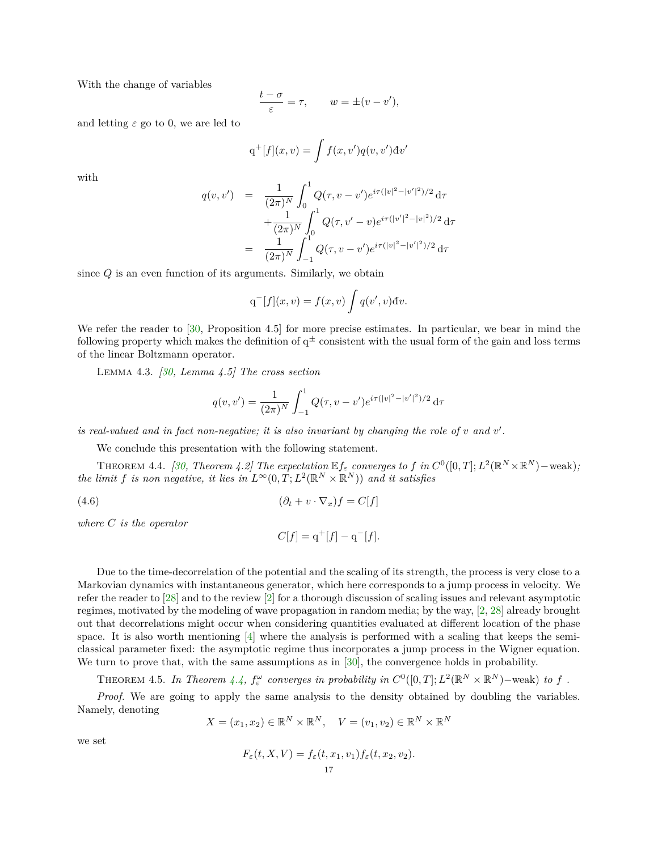With the change of variables

$$
\frac{t-\sigma}{\varepsilon}=\tau, \qquad w=\pm (v-v'),
$$

and letting  $\varepsilon$  go to 0, we are led to

$$
q^{+}[f](x,v) = \int f(x,v')q(v,v')dv'
$$

with

$$
q(v, v') = \frac{1}{(2\pi)^N} \int_0^1 Q(\tau, v - v') e^{i\tau(|v|^2 - |v'|^2)/2} d\tau + \frac{1}{(2\pi)^N} \int_0^1 Q(\tau, v' - v) e^{i\tau(|v'|^2 - |v|^2)/2} d\tau = \frac{1}{(2\pi)^N} \int_{-1}^1 Q(\tau, v - v') e^{i\tau(|v|^2 - |v'|^2)/2} d\tau
$$

since *Q* is an even function of its arguments. Similarly, we obtain

$$
q^{-}[f](x,v) = f(x,v) \int q(v',v) dv.
$$

We refer the reader to [\[30,](#page-20-18) Proposition 4.5] for more precise estimates. In particular, we bear in mind the following property which makes the definition of  $q^{\pm}$  consistent with the usual form of the gain and loss terms of the linear Boltzmann operator.

Lemma 4.3. *[\[30,](#page-20-18) Lemma 4.5] The cross section*

$$
q(v, v') = \frac{1}{(2\pi)^N} \int_{-1}^1 Q(\tau, v - v') e^{i\tau(|v|^2 - |v'|^2)/2} d\tau
$$

*is real-valued and in fact non-negative; it is also invariant by changing the role of*  $v$  *and*  $v'$ *.* 

We conclude this presentation with the following statement.

THEOREM 4.4. *[\[30,](#page-20-18) Theorem 4.2] The expectation*  $\mathbb{E} f_{\varepsilon}$  *converges to*  $f$  *in*  $C^0([0,T]; L^2(\mathbb{R}^N \times \mathbb{R}^N)$  – weak); *the limit f is non negative, it lies in*  $L^{\infty}(0,T;L^2(\mathbb{R}^N\times\mathbb{R}^N))$  *and it satisfies* 

(4.6)  $(\partial_t + v \cdot \nabla_x) f = C[f]$ 

*where C is the operator*

<span id="page-16-0"></span>
$$
C[f] = q^+[f] - q^-[f].
$$

Due to the time-decorrelation of the potential and the scaling of its strength, the process is very close to a Markovian dynamics with instantaneous generator, which here corresponds to a jump process in velocity. We refer the reader to [\[28\]](#page-20-33) and to the review [\[2\]](#page-19-2) for a thorough discussion of scaling issues and relevant asymptotic regimes, motivated by the modeling of wave propagation in random media; by the way, [\[2,](#page-19-2) [28\]](#page-20-33) already brought out that decorrelations might occur when considering quantities evaluated at different location of the phase space. It is also worth mentioning  $[4]$  where the analysis is performed with a scaling that keeps the semiclassical parameter fixed: the asymptotic regime thus incorporates a jump process in the Wigner equation. We turn to prove that, with the same assumptions as in [\[30\]](#page-20-18), the convergence holds in probability.

THEOREM 4.5. In Theorem  $4.4$ ,  $f_{\varepsilon}^{\omega}$  converges in probability in  $C^0([0,T]; L^2(\mathbb{R}^N \times \mathbb{R}^N)$ -weak) to f.

*Proof.* We are going to apply the same analysis to the density obtained by doubling the variables. Namely, denoting

$$
X = (x_1, x_2) \in \mathbb{R}^N \times \mathbb{R}^N, \quad V = (v_1, v_2) \in \mathbb{R}^N \times \mathbb{R}^N
$$

we set

$$
F_{\varepsilon}(t, X, V) = f_{\varepsilon}(t, x_1, v_1) f_{\varepsilon}(t, x_2, v_2).
$$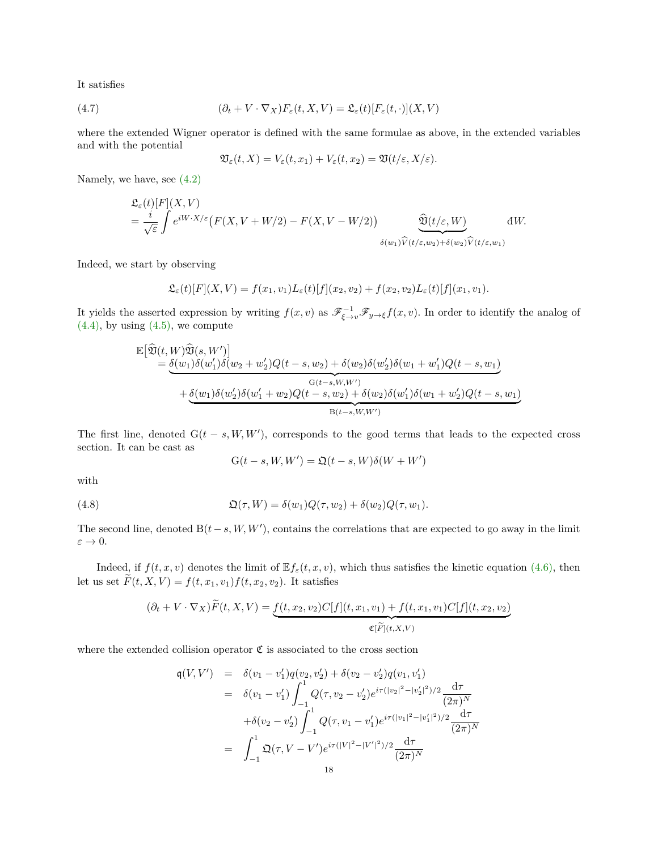It satisfies

(4.7) 
$$
(\partial_t + V \cdot \nabla_X) F_{\varepsilon}(t, X, V) = \mathfrak{L}_{\varepsilon}(t) [F_{\varepsilon}(t, \cdot)](X, V)
$$

where the extended Wigner operator is defined with the same formulae as above, in the extended variables and with the potential

<span id="page-17-1"></span>
$$
\mathfrak{V}_{\varepsilon}(t,X)=V_{\varepsilon}(t,x_1)+V_{\varepsilon}(t,x_2)=\mathfrak{V}(t/\varepsilon,X/\varepsilon).
$$

Namely, we have, see [\(4.2\)](#page-14-3)

$$
\mathfrak{L}_{\varepsilon}(t)[F](X,V) = \frac{i}{\sqrt{\varepsilon}} \int e^{iW \cdot X/\varepsilon} \big( F(X,V+W/2) - F(X,V-W/2) \big) \qquad \frac{\widehat{\mathfrak{V}}(t/\varepsilon,W)}{\delta(w_1)\widehat{V}(t/\varepsilon,w_2) + \delta(w_2)\widehat{V}(t/\varepsilon,w_1)} \, dW.
$$

Indeed, we start by observing

$$
\mathfrak{L}_{\varepsilon}(t)[F](X,V) = f(x_1,v_1)L_{\varepsilon}(t)[f](x_2,v_2) + f(x_2,v_2)L_{\varepsilon}(t)[f](x_1,v_1).
$$

It yields the asserted expression by writing  $f(x, v)$  as  $\mathscr{F}^{-1}_{\xi \to v} \mathscr{F}_{y \to \xi} f(x, v)$ . In order to identify the analog of  $(4.4)$ , by using  $(4.5)$ , we compute

$$
\mathbb{E}[\widehat{\mathfrak{V}}(t,W)\widehat{\mathfrak{V}}(s,W')]\n= \underbrace{\delta(w_1)\delta(w'_1)\delta(w_2+w'_2)Q(t-s,w_2)+\delta(w_2)\delta(w'_2)\delta(w_1+w'_1)Q(t-s,w_1)}_{\text{G}(t-s,W,W')}\n+ \underbrace{\delta(w_1)\delta(w'_2)\delta(w'_1+w_2)Q(t-s,w_2)+\delta(w_2)\delta(w'_1)\delta(w_1+w'_2)Q(t-s,w_1)}_{\text{B}(t-s,W,W')}
$$

The first line, denoted  $G(t - s, W, W')$ , corresponds to the good terms that leads to the expected cross section. It can be cast as

<span id="page-17-0"></span>
$$
G(t-s,W,W') = \mathfrak{Q}(t-s,W)\delta(W+W')
$$

with

(4.8) 
$$
\mathfrak{Q}(\tau, W) = \delta(w_1)Q(\tau, w_2) + \delta(w_2)Q(\tau, w_1).
$$

The second line, denoted  $B(t-s, W, W')$ , contains the correlations that are expected to go away in the limit *ε* → 0.

Indeed, if  $f(t, x, v)$  denotes the limit of  $\mathbb{E} f_{\varepsilon}(t, x, v)$ , which thus satisfies the kinetic equation [\(4.6\),](#page-16-0) then let us set  $\widetilde{F}(t, X, V) = f(t, x_1, v_1) f(t, x_2, v_2)$ . It satisfies

$$
(\partial_t + V \cdot \nabla_X) F(t, X, V) = \underbrace{f(t, x_2, v_2) C[f](t, x_1, v_1) + f(t, x_1, v_1) C[f](t, x_2, v_2)}_{\mathfrak{C}[\widetilde{F}](t, X, V)}
$$

where the extended collision operator  $\mathfrak C$  is associated to the cross section

$$
\begin{array}{rcl}\n\mathfrak{q}(V,V') & = & \delta(v_1 - v_1')q(v_2, v_2') + \delta(v_2 - v_2')q(v_1, v_1') \\
& = & \delta(v_1 - v_1') \int_{-1}^{1} Q(\tau, v_2 - v_2') e^{i\tau(|v_2|^2 - |v_2'|^2)/2} \frac{\mathrm{d}\tau}{(2\pi)^N} \\
& + \delta(v_2 - v_2') \int_{-1}^{1} Q(\tau, v_1 - v_1') e^{i\tau(|v_1|^2 - |v_1'|^2)/2} \frac{\mathrm{d}\tau}{(2\pi)^N} \\
& = & \int_{-1}^{1} \mathfrak{Q}(\tau, V - V') e^{i\tau(|V|^2 - |V'|^2)/2} \frac{\mathrm{d}\tau}{(2\pi)^N}\n\end{array}
$$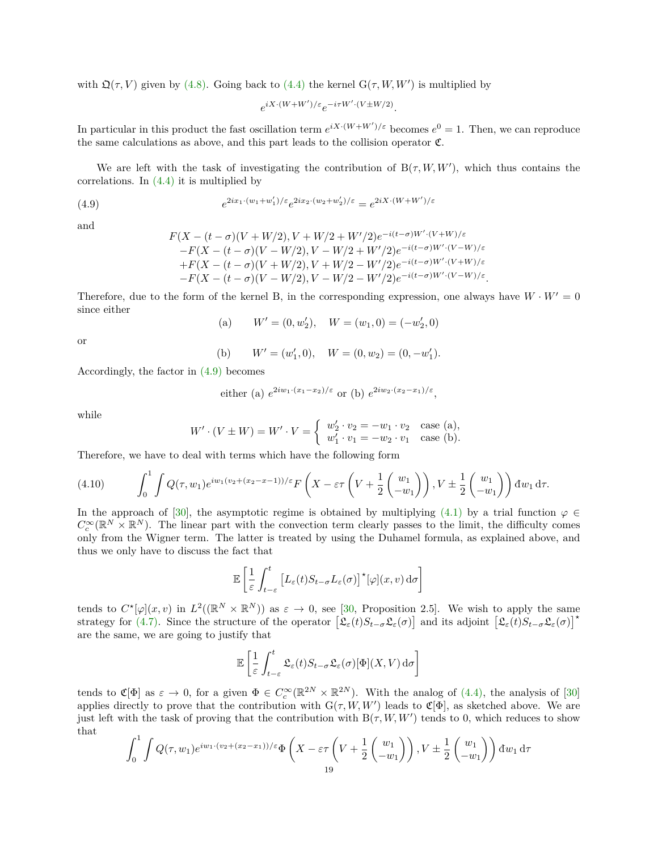with  $\mathfrak{Q}(\tau, V)$  given by [\(4.8\).](#page-17-0) Going back to [\(4.4\)](#page-15-0) the kernel  $G(\tau, W, W')$  is multiplied by

$$
e^{iX\cdot(W+W')/\varepsilon}e^{-i\tau W'\cdot(V\pm W/2)}.
$$

In particular in this product the fast oscillation term  $e^{iX \cdot (W+W')/\varepsilon}$  becomes  $e^0 = 1$ . Then, we can reproduce the same calculations as above, and this part leads to the collision operator  $\mathfrak{C}$ .

We are left with the task of investigating the contribution of  $B(\tau, W, W')$ , which thus contains the correlations. In [\(4.4\)](#page-15-0) it is multiplied by

(4.9) 
$$
e^{2ix_1 \cdot (w_1 + w_1')/\varepsilon} e^{2ix_2 \cdot (w_2 + w_2')/\varepsilon} = e^{2iX \cdot (W + W')/\varepsilon}
$$

and

<span id="page-18-0"></span>
$$
F(X - (t - \sigma)(V + W/2), V + W/2 + W'/2)e^{-i(t - \sigma)W' \cdot (V + W)/\varepsilon} -F(X - (t - \sigma)(V - W/2), V - W/2 + W'/2)e^{-i(t - \sigma)W' \cdot (V - W)/\varepsilon} +F(X - (t - \sigma)(V + W/2), V + W/2 - W'/2)e^{-i(t - \sigma)W' \cdot (V + W)/\varepsilon} -F(X - (t - \sigma)(V - W/2), V - W/2 - W'/2)e^{-i(t - \sigma)W' \cdot (V - W)/\varepsilon}.
$$

Therefore, due to the form of the kernel B, in the corresponding expression, one always have  $W \cdot W' = 0$ since either

(a) 
$$
W' = (0, w'_2), \quad W = (w_1, 0) = (-w'_2, 0)
$$

or

(b) 
$$
W' = (w'_1, 0), \quad W = (0, w_2) = (0, -w'_1).
$$

Accordingly, the factor in [\(4.9\)](#page-18-0) becomes

either (a) 
$$
e^{2iw_1 \cdot (x_1 - x_2)/\varepsilon}
$$
 or (b)  $e^{2iw_2 \cdot (x_2 - x_1)/\varepsilon}$ ,

while

$$
W' \cdot (V \pm W) = W' \cdot V = \begin{cases} w'_2 \cdot v_2 = -w_1 \cdot v_2 & \text{case (a)}, \\ w'_1 \cdot v_1 = -w_2 \cdot v_1 & \text{case (b)}. \end{cases}
$$

Therefore, we have to deal with terms which have the following form

$$
(4.10) \qquad \int_0^1 \int Q(\tau, w_1) e^{iw_1(v_2 + (x_2 - x - 1))/\varepsilon} F\left(X - \varepsilon \tau \left(V + \frac{1}{2} \begin{pmatrix} w_1 \\ -w_1 \end{pmatrix}\right), V \pm \frac{1}{2} \begin{pmatrix} w_1 \\ -w_1 \end{pmatrix}\right) dw_1 d\tau.
$$

In the approach of [\[30\]](#page-20-18), the asymptotic regime is obtained by multiplying [\(4.1\)](#page-13-0) by a trial function  $\varphi \in$  $C_c^{\infty}(\mathbb{R}^N\times\mathbb{R}^N)$ . The linear part with the convection term clearly passes to the limit, the difficulty comes only from the Wigner term. The latter is treated by using the Duhamel formula, as explained above, and thus we only have to discuss the fact that

$$
\mathbb{E}\left[\frac{1}{\varepsilon}\int_{t-\varepsilon}^{t}\left[L_{\varepsilon}(t)S_{t-\sigma}L_{\varepsilon}(\sigma)\right]^{\star}[\varphi](x,v)\,\mathrm{d}\sigma\right]
$$

tends to  $C^*[\varphi](x,v)$  in  $L^2((\mathbb{R}^N \times \mathbb{R}^N))$  as  $\varepsilon \to 0$ , see [\[30,](#page-20-18) Proposition 2.5]. We wish to apply the same strategy for [\(4.7\).](#page-17-1) Since the structure of the operator  $\left[\mathfrak{L}_{\varepsilon}(t)S_{t-\sigma}\mathfrak{L}_{\varepsilon}(\sigma)\right]$  and its adjoint  $\left[\mathfrak{L}_{\varepsilon}(t)S_{t-\sigma}\mathfrak{L}_{\varepsilon}(\sigma)\right]^{\star}$ are the same, we are going to justify that

$$
\mathbb{E}\left[\frac{1}{\varepsilon}\int_{t-\varepsilon}^{t}\mathfrak{L}_{\varepsilon}(t)S_{t-\sigma}\mathfrak{L}_{\varepsilon}(\sigma)[\Phi](X,V)\,\mathrm{d}\sigma\right]
$$

tends to  $\mathfrak{C}[\Phi]$  as  $\varepsilon \to 0$ , for a given  $\Phi \in C_c^{\infty}(\mathbb{R}^{2N} \times \mathbb{R}^{2N})$ . With the analog of [\(4.4\),](#page-15-0) the analysis of [\[30\]](#page-20-18) applies directly to prove that the contribution with  $G(\tau, W, W')$  leads to  $\mathfrak{C}[\Phi]$ , as sketched above. We are just left with the task of proving that the contribution with  $B(\tau, W, W')$  tends to 0, which reduces to show that

$$
\int_0^1 \int Q(\tau, w_1) e^{iw_1 \cdot (v_2 + (x_2 - x_1))/\varepsilon} \Phi\left(X - \varepsilon \tau \left(V + \frac{1}{2} \begin{pmatrix} w_1 \\ -w_1 \end{pmatrix} \right), V \pm \frac{1}{2} \begin{pmatrix} w_1 \\ -w_1 \end{pmatrix} \right) dw_1 d\tau
$$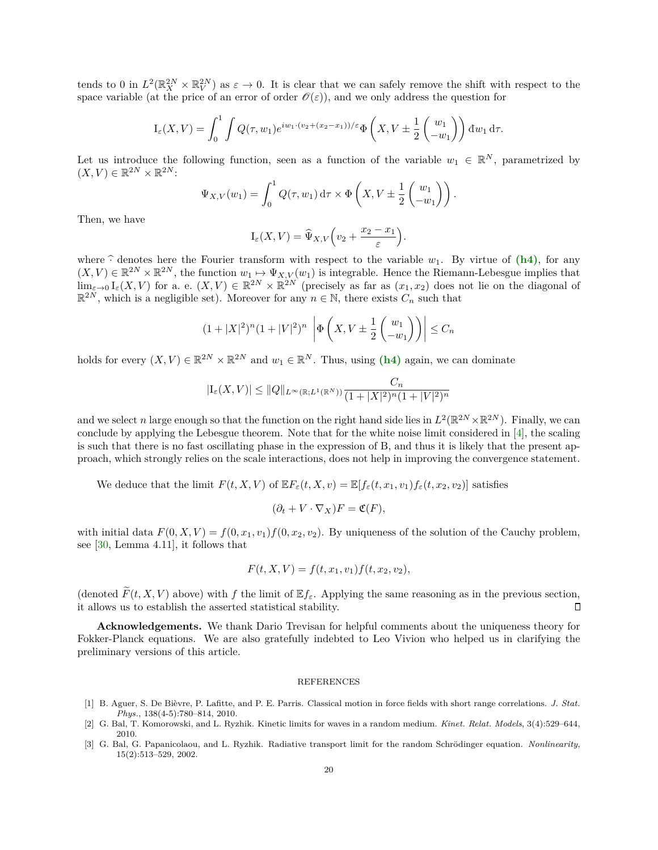tends to 0 in  $L^2(\mathbb{R}^{2N}_X\times\mathbb{R}^{2N}_V)$  as  $\varepsilon\to 0$ . It is clear that we can safely remove the shift with respect to the space variable (at the price of an error of order  $\mathcal{O}(\varepsilon)$ ), and we only address the question for

$$
I_{\varepsilon}(X,V) = \int_0^1 \int Q(\tau,w_1) e^{iw_1 \cdot (v_2 + (x_2 - x_1))/\varepsilon} \Phi\left(X, V \pm \frac{1}{2} \begin{pmatrix} w_1 \\ -w_1 \end{pmatrix} \right) dw_1 d\tau.
$$

Let us introduce the following function, seen as a function of the variable  $w_1 \in \mathbb{R}^N$ , parametrized by  $(X, V) \in \mathbb{R}^{2N} \times \mathbb{R}^{2N}$ :

$$
\Psi_{X,V}(w_1) = \int_0^1 Q(\tau, w_1) d\tau \times \Phi\left(X, V \pm \frac{1}{2} \begin{pmatrix} w_1 \\ -w_1 \end{pmatrix}\right).
$$

Then, we have

$$
\mathcal{I}_{\varepsilon}(X,V)=\widehat{\Psi}_{X,V}\Big(v_2+\frac{x_2-x_1}{\varepsilon}\Big).
$$

where  $\hat{\cdot}$  denotes here the Fourier transform with respect to the variable  $w_1$ . By virtue of  $(h4)$ , for any  $(X, V) \in \mathbb{R}^{2N} \times \mathbb{R}^{2N}$ , the function  $w_1 \mapsto \Psi_{X,V}(w_1)$  is integrable. Hence the Riemann-Lebesgue implies that  $\lim_{\varepsilon \to 0} I_{\varepsilon}(X, V)$  for a. e.  $(X, V) \in \mathbb{R}^{2N} \times \mathbb{R}^{2N}$  (precisely as far as  $(x_1, x_2)$  does not lie on the diagonal of  $\mathbb{R}^{2N}$ , which is a negligible set). Moreover for any  $n \in \mathbb{N}$ , there exists  $C_n$  such that

$$
(1+|X|^2)^n (1+|V|^2)^n \left| \Phi\left(X, V \pm \frac{1}{2} \begin{pmatrix} w_1 \\ -w_1 \end{pmatrix} \right) \right| \le C_n
$$

holds for every  $(X, V) \in \mathbb{R}^{2N} \times \mathbb{R}^{2N}$  and  $w_1 \in \mathbb{R}^N$ . Thus, using  $(h4)$  again, we can dominate

$$
|{\rm I}_{\varepsilon}(X,V)|\leq \|Q\|_{L^\infty(\mathbb{R};L^1(\mathbb{R}^N))}\frac{C_n}{(1+|X|^2)^n(1+|V|^2)^n}
$$

and we select *n* large enough so that the function on the right hand side lies in  $L^2(\mathbb{R}^{2N}\times\mathbb{R}^{2N})$ . Finally, we can conclude by applying the Lebesgue theorem. Note that for the white noise limit considered in [\[4\]](#page-20-21), the scaling is such that there is no fast oscillating phase in the expression of B, and thus it is likely that the present approach, which strongly relies on the scale interactions, does not help in improving the convergence statement.

We deduce that the limit  $F(t, X, V)$  of  $\mathbb{E} F_{\varepsilon}(t, X, v) = \mathbb{E}[f_{\varepsilon}(t, x_1, v_1)f_{\varepsilon}(t, x_2, v_2)]$  satisfies

$$
(\partial_t + V \cdot \nabla_X)F = \mathfrak{C}(F),
$$

with initial data  $F(0, X, V) = f(0, x_1, v_1) f(0, x_2, v_2)$ . By uniqueness of the solution of the Cauchy problem, see [\[30,](#page-20-18) Lemma 4.11], it follows that

$$
F(t, X, V) = f(t, x_1, v_1) f(t, x_2, v_2),
$$

(denoted  $\widetilde{F}(t, X, V)$  above) with *f* the limit of  $\mathbb{E} f_{\varepsilon}$ . Applying the same reasoning as in the previous section, it allows us to establish the asserted statistical stability. it allows us to establish the asserted statistical stability.

**Acknowledgements.** We thank Dario Trevisan for helpful comments about the uniqueness theory for Fokker-Planck equations. We are also gratefully indebted to Leo Vivion who helped us in clarifying the preliminary versions of this article.

## REFERENCES

- <span id="page-19-0"></span>[1] B. Aguer, S. De Bièvre, P. Lafitte, and P. E. Parris. Classical motion in force fields with short range correlations. *J. Stat. Phys.*, 138(4-5):780–814, 2010.
- <span id="page-19-2"></span>[2] G. Bal, T. Komorowski, and L. Ryzhik. Kinetic limits for waves in a random medium. *Kinet. Relat. Models*, 3(4):529–644, 2010.
- <span id="page-19-1"></span>[3] G. Bal, G. Papanicolaou, and L. Ryzhik. Radiative transport limit for the random Schrödinger equation. *Nonlinearity*, 15(2):513–529, 2002.